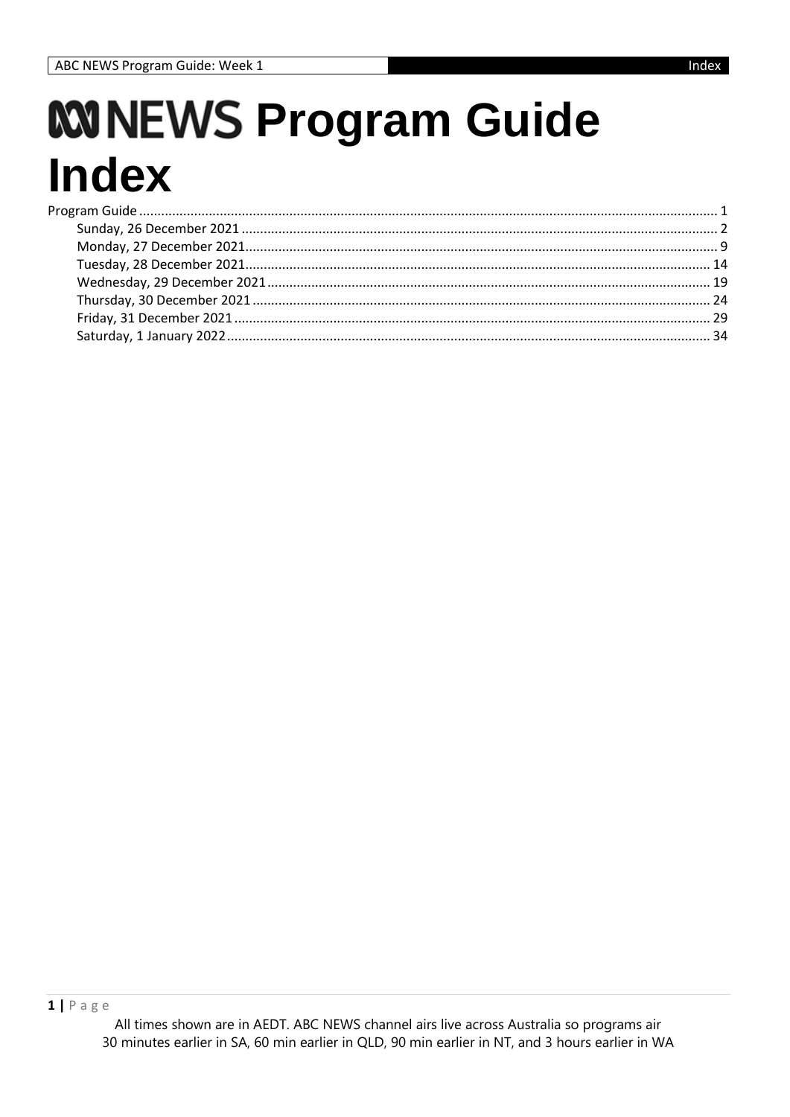# <span id="page-0-0"></span>**WINEWS Program Guide Index**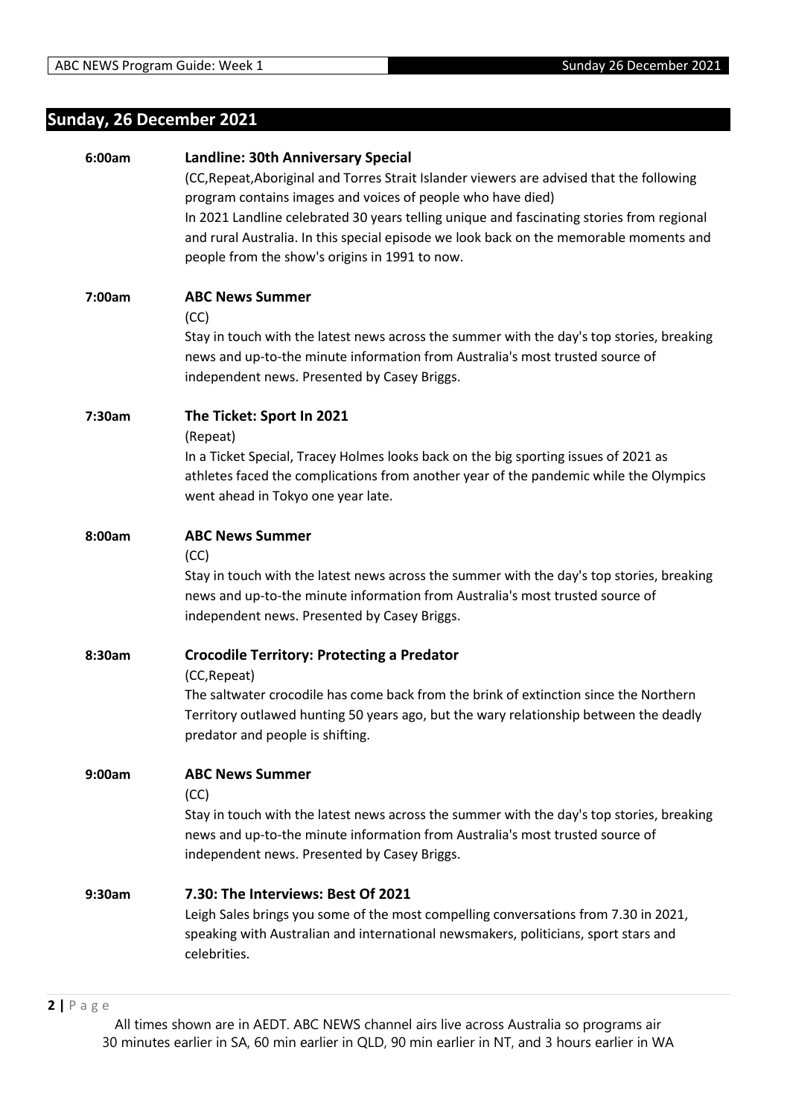# <span id="page-1-0"></span>**Sunday, 26 December 2021**

| 6:00am | <b>Landline: 30th Anniversary Special</b><br>(CC, Repeat, Aboriginal and Torres Strait Islander viewers are advised that the following<br>program contains images and voices of people who have died)<br>In 2021 Landline celebrated 30 years telling unique and fascinating stories from regional<br>and rural Australia. In this special episode we look back on the memorable moments and<br>people from the show's origins in 1991 to now. |
|--------|------------------------------------------------------------------------------------------------------------------------------------------------------------------------------------------------------------------------------------------------------------------------------------------------------------------------------------------------------------------------------------------------------------------------------------------------|
| 7:00am | <b>ABC News Summer</b><br>(CC)<br>Stay in touch with the latest news across the summer with the day's top stories, breaking<br>news and up-to-the minute information from Australia's most trusted source of<br>independent news. Presented by Casey Briggs.                                                                                                                                                                                   |
| 7:30am | The Ticket: Sport In 2021<br>(Repeat)<br>In a Ticket Special, Tracey Holmes looks back on the big sporting issues of 2021 as<br>athletes faced the complications from another year of the pandemic while the Olympics<br>went ahead in Tokyo one year late.                                                                                                                                                                                    |
| 8:00am | <b>ABC News Summer</b><br>(CC)<br>Stay in touch with the latest news across the summer with the day's top stories, breaking<br>news and up-to-the minute information from Australia's most trusted source of<br>independent news. Presented by Casey Briggs.                                                                                                                                                                                   |
| 8:30am | <b>Crocodile Territory: Protecting a Predator</b><br>(CC, Repeat)<br>The saltwater crocodile has come back from the brink of extinction since the Northern<br>Territory outlawed hunting 50 years ago, but the wary relationship between the deadly<br>predator and people is shifting.                                                                                                                                                        |
| 9:00am | <b>ABC News Summer</b><br>(CC)<br>Stay in touch with the latest news across the summer with the day's top stories, breaking<br>news and up-to-the minute information from Australia's most trusted source of<br>independent news. Presented by Casey Briggs.                                                                                                                                                                                   |
| 9:30am | 7.30: The Interviews: Best Of 2021<br>Leigh Sales brings you some of the most compelling conversations from 7.30 in 2021,<br>speaking with Australian and international newsmakers, politicians, sport stars and<br>celebrities.                                                                                                                                                                                                               |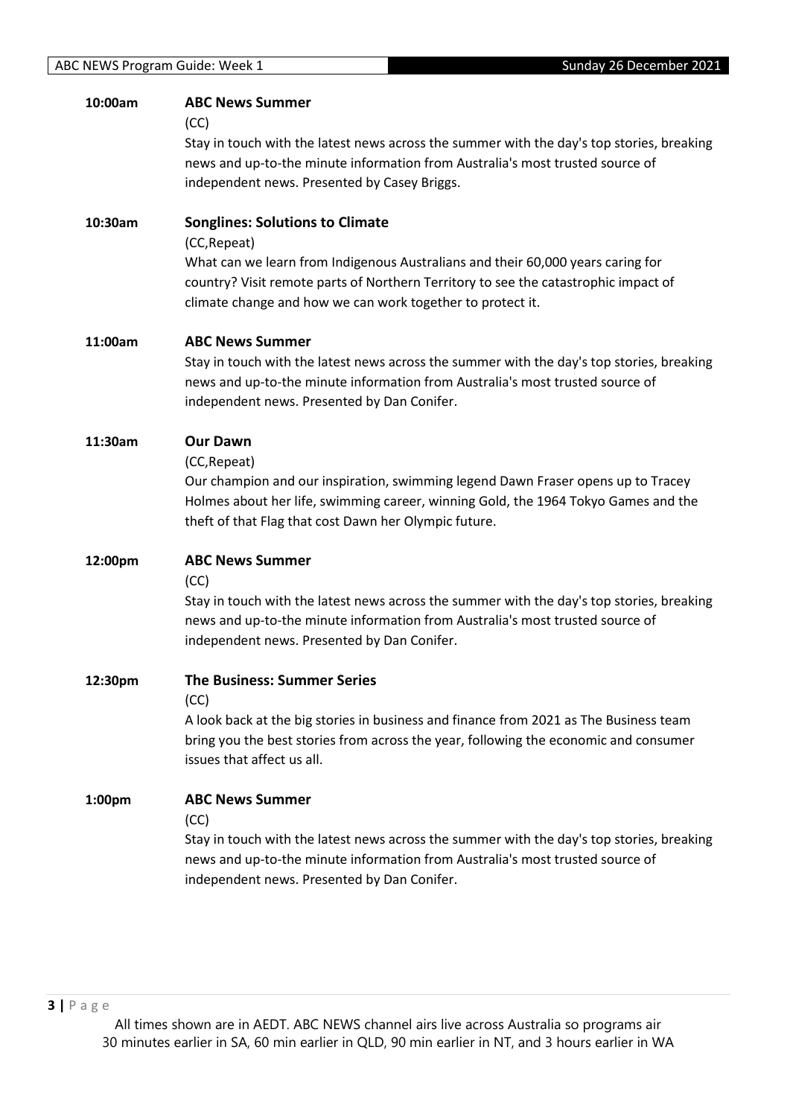| 10:00am | <b>ABC News Summer</b>                                                                                                                                                        |
|---------|-------------------------------------------------------------------------------------------------------------------------------------------------------------------------------|
|         | (CC)<br>Stay in touch with the latest news across the summer with the day's top stories, breaking                                                                             |
|         | news and up-to-the minute information from Australia's most trusted source of                                                                                                 |
|         | independent news. Presented by Casey Briggs.                                                                                                                                  |
|         |                                                                                                                                                                               |
| 10:30am | <b>Songlines: Solutions to Climate</b>                                                                                                                                        |
|         | (CC, Repeat)                                                                                                                                                                  |
|         | What can we learn from Indigenous Australians and their 60,000 years caring for                                                                                               |
|         | country? Visit remote parts of Northern Territory to see the catastrophic impact of<br>climate change and how we can work together to protect it.                             |
|         |                                                                                                                                                                               |
| 11:00am | <b>ABC News Summer</b>                                                                                                                                                        |
|         | Stay in touch with the latest news across the summer with the day's top stories, breaking                                                                                     |
|         | news and up-to-the minute information from Australia's most trusted source of                                                                                                 |
|         | independent news. Presented by Dan Conifer.                                                                                                                                   |
| 11:30am | <b>Our Dawn</b>                                                                                                                                                               |
|         | (CC, Repeat)                                                                                                                                                                  |
|         | Our champion and our inspiration, swimming legend Dawn Fraser opens up to Tracey                                                                                              |
|         | Holmes about her life, swimming career, winning Gold, the 1964 Tokyo Games and the                                                                                            |
|         | theft of that Flag that cost Dawn her Olympic future.                                                                                                                         |
|         | <b>ABC News Summer</b>                                                                                                                                                        |
| 12:00pm | (CC)                                                                                                                                                                          |
|         | Stay in touch with the latest news across the summer with the day's top stories, breaking                                                                                     |
|         | news and up-to-the minute information from Australia's most trusted source of                                                                                                 |
|         | independent news. Presented by Dan Conifer.                                                                                                                                   |
|         |                                                                                                                                                                               |
| 12:30pm | <b>The Business: Summer Series</b>                                                                                                                                            |
|         | (CC)                                                                                                                                                                          |
|         | A look back at the big stories in business and finance from 2021 as The Business team<br>bring you the best stories from across the year, following the economic and consumer |
|         | issues that affect us all.                                                                                                                                                    |
|         |                                                                                                                                                                               |
| 1:00pm  | <b>ABC News Summer</b>                                                                                                                                                        |
|         | (CC)                                                                                                                                                                          |
|         | Stay in touch with the latest news across the summer with the day's top stories, breaking                                                                                     |
|         | news and up-to-the minute information from Australia's most trusted source of                                                                                                 |
|         | independent news. Presented by Dan Conifer.                                                                                                                                   |
|         |                                                                                                                                                                               |
|         |                                                                                                                                                                               |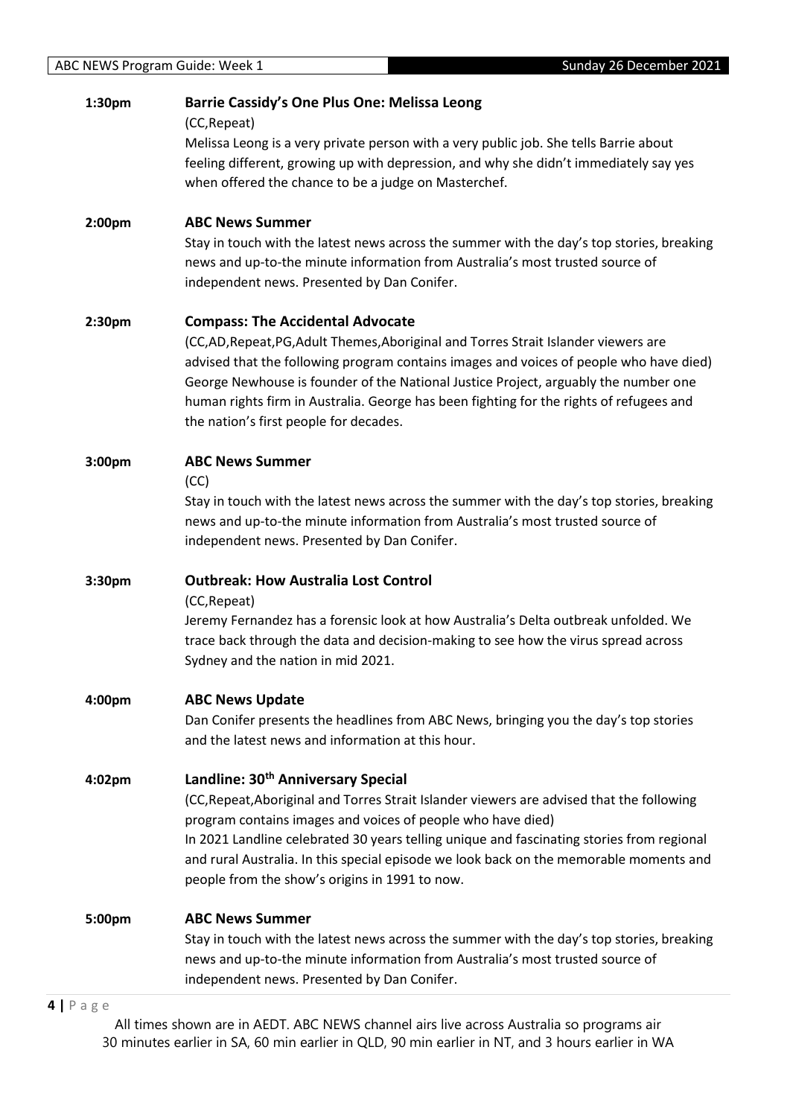| 1:30pm | <b>Barrie Cassidy's One Plus One: Melissa Leong</b><br>(CC, Repeat)<br>Melissa Leong is a very private person with a very public job. She tells Barrie about                                                                                                                                                                                                                                                                                        |
|--------|-----------------------------------------------------------------------------------------------------------------------------------------------------------------------------------------------------------------------------------------------------------------------------------------------------------------------------------------------------------------------------------------------------------------------------------------------------|
|        | feeling different, growing up with depression, and why she didn't immediately say yes<br>when offered the chance to be a judge on Masterchef.                                                                                                                                                                                                                                                                                                       |
| 2:00pm | <b>ABC News Summer</b><br>Stay in touch with the latest news across the summer with the day's top stories, breaking<br>news and up-to-the minute information from Australia's most trusted source of<br>independent news. Presented by Dan Conifer.                                                                                                                                                                                                 |
| 2:30pm | <b>Compass: The Accidental Advocate</b><br>(CC,AD,Repeat,PG,Adult Themes,Aboriginal and Torres Strait Islander viewers are<br>advised that the following program contains images and voices of people who have died)<br>George Newhouse is founder of the National Justice Project, arguably the number one<br>human rights firm in Australia. George has been fighting for the rights of refugees and<br>the nation's first people for decades.    |
| 3:00pm | <b>ABC News Summer</b><br>(CC)<br>Stay in touch with the latest news across the summer with the day's top stories, breaking<br>news and up-to-the minute information from Australia's most trusted source of<br>independent news. Presented by Dan Conifer.                                                                                                                                                                                         |
| 3:30pm | <b>Outbreak: How Australia Lost Control</b><br>(CC, Repeat)<br>Jeremy Fernandez has a forensic look at how Australia's Delta outbreak unfolded. We<br>trace back through the data and decision-making to see how the virus spread across<br>Sydney and the nation in mid 2021.                                                                                                                                                                      |
| 4:00pm | <b>ABC News Update</b><br>Dan Conifer presents the headlines from ABC News, bringing you the day's top stories<br>and the latest news and information at this hour.                                                                                                                                                                                                                                                                                 |
| 4:02pm | Landline: 30 <sup>th</sup> Anniversary Special<br>(CC, Repeat, Aboriginal and Torres Strait Islander viewers are advised that the following<br>program contains images and voices of people who have died)<br>In 2021 Landline celebrated 30 years telling unique and fascinating stories from regional<br>and rural Australia. In this special episode we look back on the memorable moments and<br>people from the show's origins in 1991 to now. |
| 5:00pm | <b>ABC News Summer</b><br>Stay in touch with the latest news across the summer with the day's top stories, breaking<br>news and up-to-the minute information from Australia's most trusted source of<br>independent news. Presented by Dan Conifer.                                                                                                                                                                                                 |

# **4 |** P a g e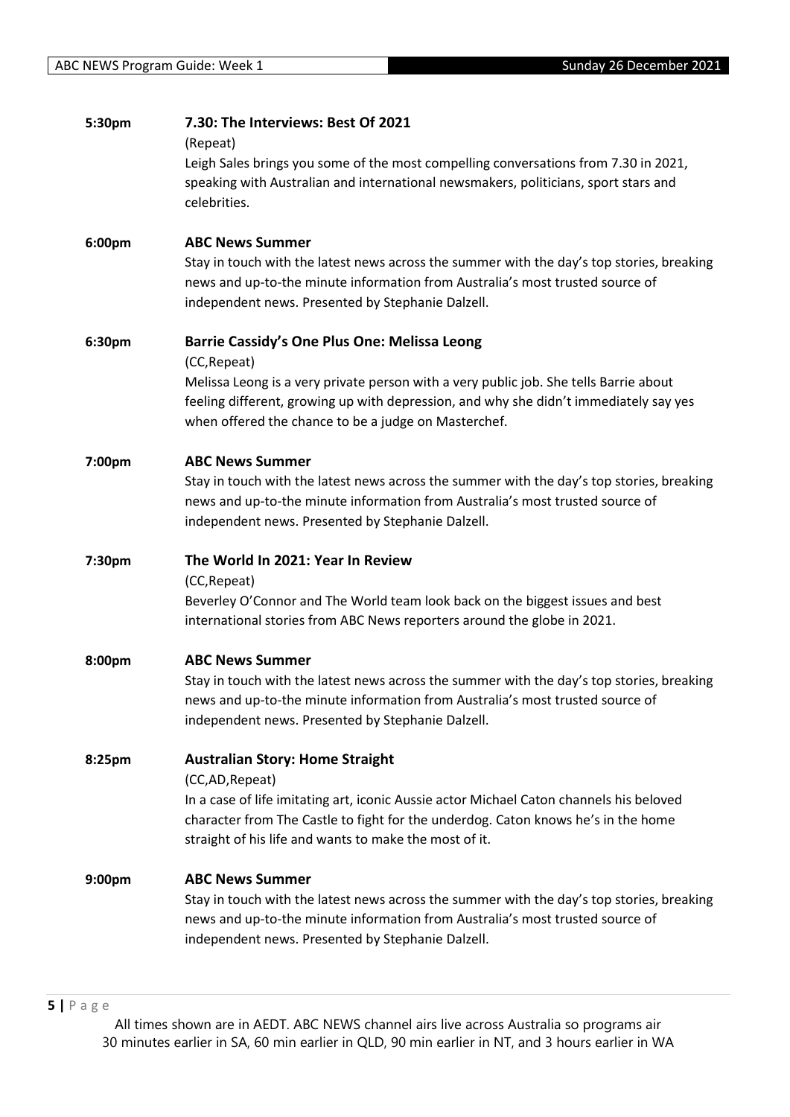| 5:30pm             | 7.30: The Interviews: Best Of 2021                                                                  |
|--------------------|-----------------------------------------------------------------------------------------------------|
|                    | (Repeat)                                                                                            |
|                    | Leigh Sales brings you some of the most compelling conversations from 7.30 in 2021,                 |
|                    | speaking with Australian and international newsmakers, politicians, sport stars and<br>celebrities. |
|                    |                                                                                                     |
| 6:00pm             | <b>ABC News Summer</b>                                                                              |
|                    | Stay in touch with the latest news across the summer with the day's top stories, breaking           |
|                    | news and up-to-the minute information from Australia's most trusted source of                       |
|                    | independent news. Presented by Stephanie Dalzell.                                                   |
| 6:30pm             | <b>Barrie Cassidy's One Plus One: Melissa Leong</b>                                                 |
|                    | (CC, Repeat)                                                                                        |
|                    | Melissa Leong is a very private person with a very public job. She tells Barrie about               |
|                    | feeling different, growing up with depression, and why she didn't immediately say yes               |
|                    | when offered the chance to be a judge on Masterchef.                                                |
| 7:00pm             | <b>ABC News Summer</b>                                                                              |
|                    | Stay in touch with the latest news across the summer with the day's top stories, breaking           |
|                    | news and up-to-the minute information from Australia's most trusted source of                       |
|                    | independent news. Presented by Stephanie Dalzell.                                                   |
|                    |                                                                                                     |
| 7:30pm             | The World In 2021: Year In Review<br>(CC, Repeat)                                                   |
|                    | Beverley O'Connor and The World team look back on the biggest issues and best                       |
|                    | international stories from ABC News reporters around the globe in 2021.                             |
|                    |                                                                                                     |
| 8:00pm             | <b>ABC News Summer</b>                                                                              |
|                    | Stay in touch with the latest news across the summer with the day's top stories, breaking           |
|                    | news and up-to-the minute information from Australia's most trusted source of                       |
|                    | independent news. Presented by Stephanie Dalzell.                                                   |
| 8:25pm             | <b>Australian Story: Home Straight</b>                                                              |
|                    | (CC,AD, Repeat)                                                                                     |
|                    | In a case of life imitating art, iconic Aussie actor Michael Caton channels his beloved             |
|                    | character from The Castle to fight for the underdog. Caton knows he's in the home                   |
|                    | straight of his life and wants to make the most of it.                                              |
| 9:00 <sub>pm</sub> | <b>ABC News Summer</b>                                                                              |
|                    | Stay in touch with the latest news across the summer with the day's top stories, breaking           |
|                    | news and up-to-the minute information from Australia's most trusted source of                       |
|                    | independent news. Presented by Stephanie Dalzell.                                                   |
|                    |                                                                                                     |
|                    |                                                                                                     |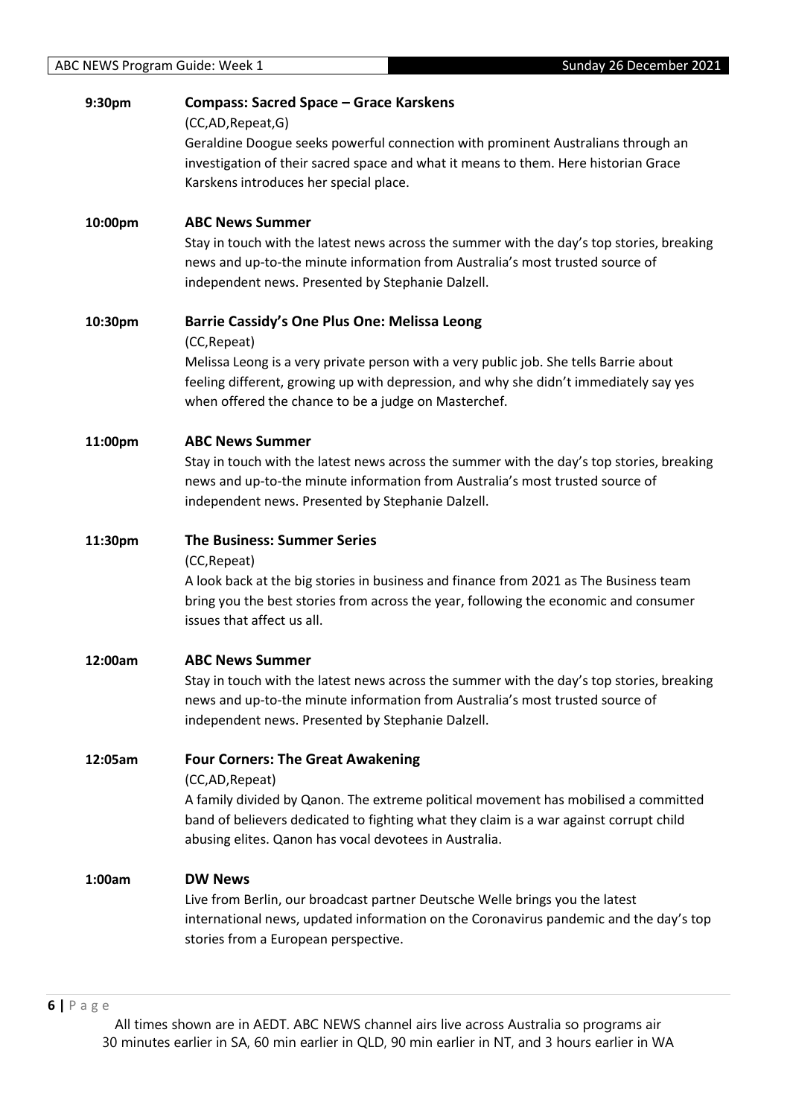| 9:30pm  | <b>Compass: Sacred Space - Grace Karskens</b><br>(CC,AD,Repeat,G)<br>Geraldine Doogue seeks powerful connection with prominent Australians through an                                                                                                                                                         |
|---------|---------------------------------------------------------------------------------------------------------------------------------------------------------------------------------------------------------------------------------------------------------------------------------------------------------------|
|         | investigation of their sacred space and what it means to them. Here historian Grace<br>Karskens introduces her special place.                                                                                                                                                                                 |
| 10:00pm | <b>ABC News Summer</b><br>Stay in touch with the latest news across the summer with the day's top stories, breaking<br>news and up-to-the minute information from Australia's most trusted source of<br>independent news. Presented by Stephanie Dalzell.                                                     |
| 10:30pm | <b>Barrie Cassidy's One Plus One: Melissa Leong</b><br>(CC, Repeat)<br>Melissa Leong is a very private person with a very public job. She tells Barrie about<br>feeling different, growing up with depression, and why she didn't immediately say yes<br>when offered the chance to be a judge on Masterchef. |
| 11:00pm | <b>ABC News Summer</b><br>Stay in touch with the latest news across the summer with the day's top stories, breaking<br>news and up-to-the minute information from Australia's most trusted source of<br>independent news. Presented by Stephanie Dalzell.                                                     |
| 11:30pm | <b>The Business: Summer Series</b><br>(CC, Repeat)<br>A look back at the big stories in business and finance from 2021 as The Business team<br>bring you the best stories from across the year, following the economic and consumer<br>issues that affect us all.                                             |
| 12:00am | <b>ABC News Summer</b><br>Stay in touch with the latest news across the summer with the day's top stories, breaking<br>news and up-to-the minute information from Australia's most trusted source of<br>independent news. Presented by Stephanie Dalzell.                                                     |
| 12:05am | <b>Four Corners: The Great Awakening</b><br>(CC,AD,Repeat)<br>A family divided by Qanon. The extreme political movement has mobilised a committed<br>band of believers dedicated to fighting what they claim is a war against corrupt child<br>abusing elites. Qanon has vocal devotees in Australia.         |
| 1:00am  | <b>DW News</b><br>Live from Berlin, our broadcast partner Deutsche Welle brings you the latest<br>international news, updated information on the Coronavirus pandemic and the day's top<br>stories from a European perspective.                                                                               |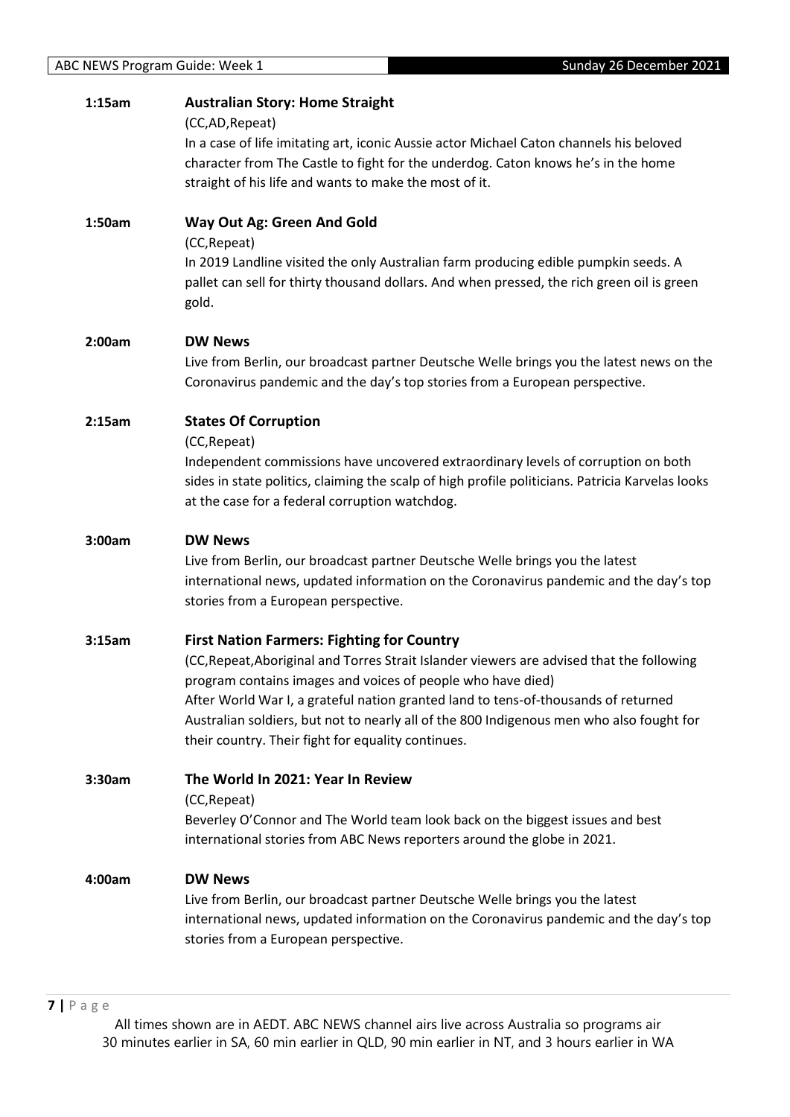| 1:15am | <b>Australian Story: Home Straight</b><br>(CC,AD,Repeat)<br>In a case of life imitating art, iconic Aussie actor Michael Caton channels his beloved<br>character from The Castle to fight for the underdog. Caton knows he's in the home<br>straight of his life and wants to make the most of it.                                                                                                                                                    |
|--------|-------------------------------------------------------------------------------------------------------------------------------------------------------------------------------------------------------------------------------------------------------------------------------------------------------------------------------------------------------------------------------------------------------------------------------------------------------|
| 1:50am | Way Out Ag: Green And Gold<br>(CC, Repeat)<br>In 2019 Landline visited the only Australian farm producing edible pumpkin seeds. A<br>pallet can sell for thirty thousand dollars. And when pressed, the rich green oil is green<br>gold.                                                                                                                                                                                                              |
| 2:00am | <b>DW News</b><br>Live from Berlin, our broadcast partner Deutsche Welle brings you the latest news on the<br>Coronavirus pandemic and the day's top stories from a European perspective.                                                                                                                                                                                                                                                             |
| 2:15am | <b>States Of Corruption</b><br>(CC, Repeat)<br>Independent commissions have uncovered extraordinary levels of corruption on both<br>sides in state politics, claiming the scalp of high profile politicians. Patricia Karvelas looks<br>at the case for a federal corruption watchdog.                                                                                                                                                                |
| 3:00am | <b>DW News</b><br>Live from Berlin, our broadcast partner Deutsche Welle brings you the latest<br>international news, updated information on the Coronavirus pandemic and the day's top<br>stories from a European perspective.                                                                                                                                                                                                                       |
| 3:15am | <b>First Nation Farmers: Fighting for Country</b><br>(CC, Repeat, Aboriginal and Torres Strait Islander viewers are advised that the following<br>program contains images and voices of people who have died)<br>After World War I, a grateful nation granted land to tens-of-thousands of returned<br>Australian soldiers, but not to nearly all of the 800 Indigenous men who also fought for<br>their country. Their fight for equality continues. |
| 3:30am | The World In 2021: Year In Review<br>(CC, Repeat)<br>Beverley O'Connor and The World team look back on the biggest issues and best<br>international stories from ABC News reporters around the globe in 2021.                                                                                                                                                                                                                                         |
| 4:00am | <b>DW News</b><br>Live from Berlin, our broadcast partner Deutsche Welle brings you the latest<br>international news, updated information on the Coronavirus pandemic and the day's top<br>stories from a European perspective.                                                                                                                                                                                                                       |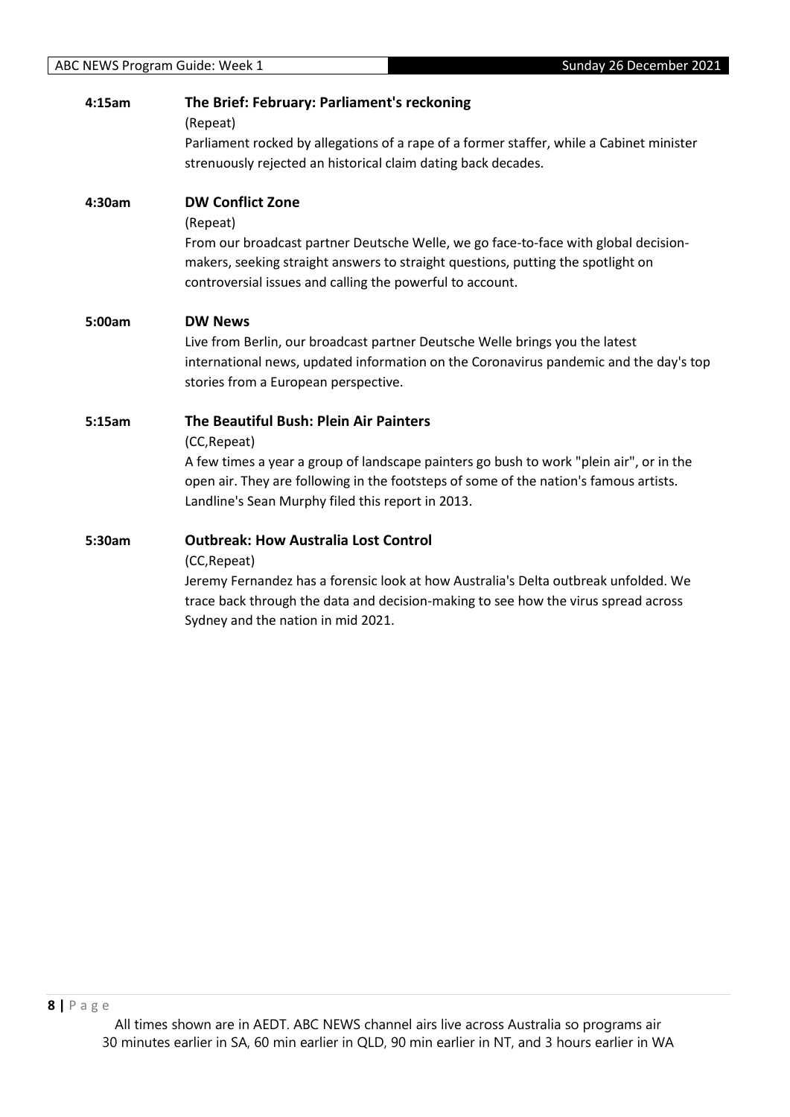| 4:15am | The Brief: February: Parliament's reckoning<br>(Repeat)<br>Parliament rocked by allegations of a rape of a former staffer, while a Cabinet minister<br>strenuously rejected an historical claim dating back decades.                                                                            |
|--------|-------------------------------------------------------------------------------------------------------------------------------------------------------------------------------------------------------------------------------------------------------------------------------------------------|
| 4:30am | <b>DW Conflict Zone</b><br>(Repeat)<br>From our broadcast partner Deutsche Welle, we go face-to-face with global decision-<br>makers, seeking straight answers to straight questions, putting the spotlight on<br>controversial issues and calling the powerful to account.                     |
| 5:00am | <b>DW News</b><br>Live from Berlin, our broadcast partner Deutsche Welle brings you the latest<br>international news, updated information on the Coronavirus pandemic and the day's top<br>stories from a European perspective.                                                                 |
| 5:15am | The Beautiful Bush: Plein Air Painters<br>(CC, Repeat)<br>A few times a year a group of landscape painters go bush to work "plein air", or in the<br>open air. They are following in the footsteps of some of the nation's famous artists.<br>Landline's Sean Murphy filed this report in 2013. |
| 5:30am | <b>Outbreak: How Australia Lost Control</b><br>(CC, Repeat)<br>Jeremy Fernandez has a forensic look at how Australia's Delta outbreak unfolded. We<br>trace back through the data and decision-making to see how the virus spread across<br>Sydney and the nation in mid 2021.                  |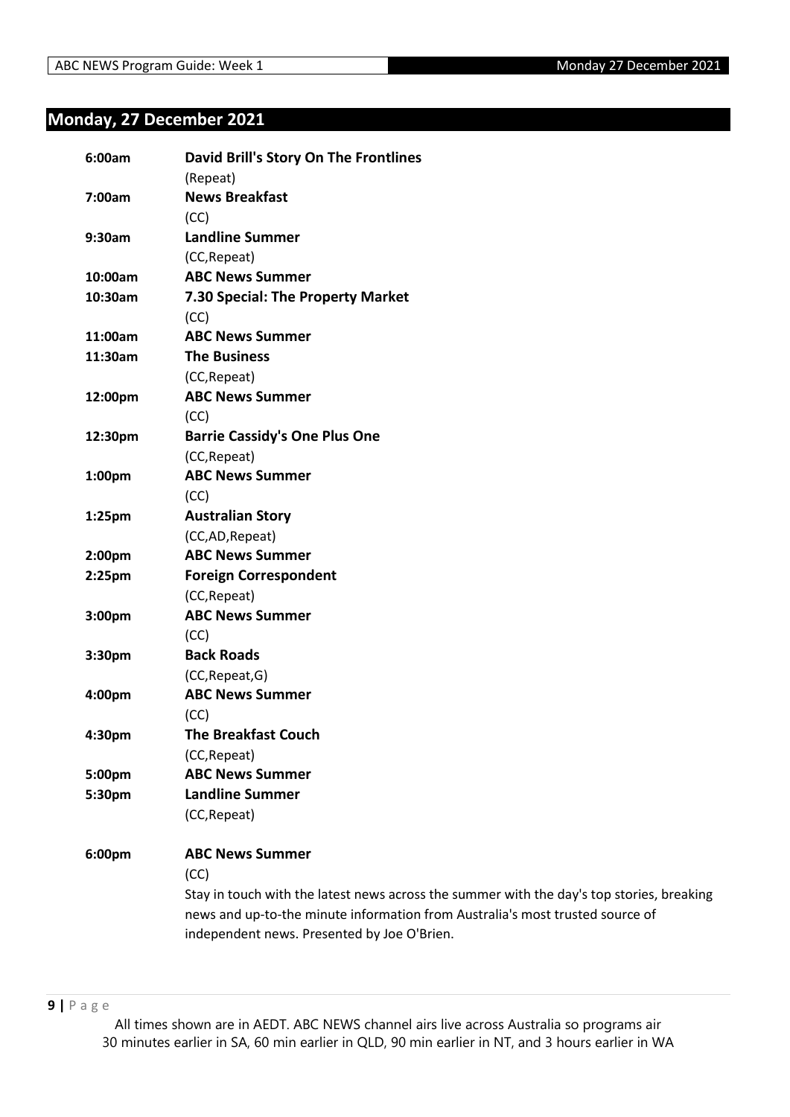# <span id="page-8-0"></span>**Monday, 27 December 2021**

| 6:00am  | David Brill's Story On The Frontlines                                                     |
|---------|-------------------------------------------------------------------------------------------|
|         | (Repeat)                                                                                  |
| 7:00am  | <b>News Breakfast</b>                                                                     |
|         | (CC)                                                                                      |
| 9:30am  | <b>Landline Summer</b>                                                                    |
|         | (CC, Repeat)                                                                              |
| 10:00am | <b>ABC News Summer</b>                                                                    |
| 10:30am | 7.30 Special: The Property Market                                                         |
|         | (CC)                                                                                      |
| 11:00am | <b>ABC News Summer</b>                                                                    |
| 11:30am | <b>The Business</b>                                                                       |
|         | (CC, Repeat)                                                                              |
| 12:00pm | <b>ABC News Summer</b>                                                                    |
|         | (CC)                                                                                      |
| 12:30pm | <b>Barrie Cassidy's One Plus One</b>                                                      |
|         | (CC, Repeat)                                                                              |
| 1:00pm  | <b>ABC News Summer</b>                                                                    |
|         | (CC)                                                                                      |
| 1:25pm  | <b>Australian Story</b>                                                                   |
|         | (CC,AD,Repeat)                                                                            |
| 2:00pm  | <b>ABC News Summer</b>                                                                    |
| 2:25pm  | <b>Foreign Correspondent</b>                                                              |
|         | (CC, Repeat)                                                                              |
| 3:00pm  | <b>ABC News Summer</b>                                                                    |
|         | (CC)                                                                                      |
| 3:30pm  | <b>Back Roads</b>                                                                         |
|         | (CC, Repeat, G)                                                                           |
| 4:00pm  | <b>ABC News Summer</b>                                                                    |
|         | (CC)                                                                                      |
| 4:30pm  | <b>The Breakfast Couch</b>                                                                |
|         | (CC, Repeat)                                                                              |
| 5:00pm  | <b>ABC News Summer</b>                                                                    |
| 5:30pm  | <b>Landline Summer</b>                                                                    |
|         | (CC, Repeat)                                                                              |
| 6:00pm  | <b>ABC News Summer</b>                                                                    |
|         | (CC)                                                                                      |
|         | Stay in touch with the latest news across the summer with the day's top stories, breaking |
|         | news and up-to-the minute information from Australia's most trusted source of             |
|         | independent news. Presented by Joe O'Brien.                                               |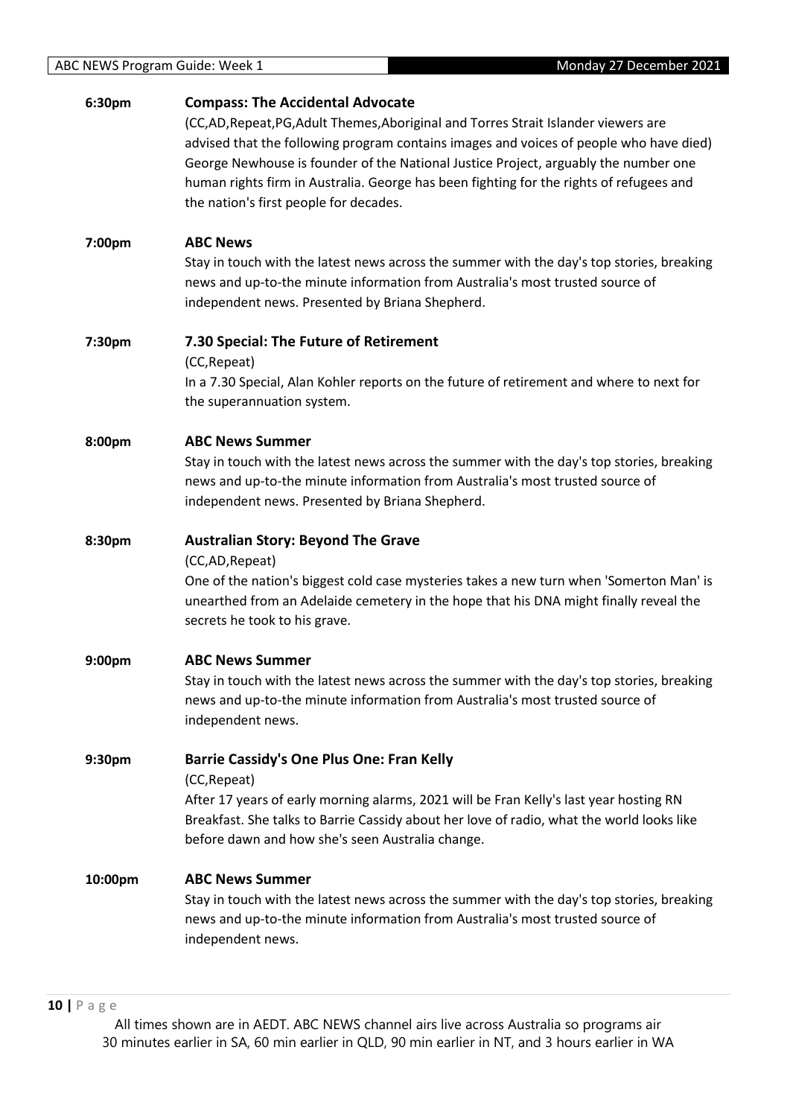| 6:30pm  | <b>Compass: The Accidental Advocate</b><br>(CC,AD,Repeat,PG,Adult Themes,Aboriginal and Torres Strait Islander viewers are<br>advised that the following program contains images and voices of people who have died)<br>George Newhouse is founder of the National Justice Project, arguably the number one<br>human rights firm in Australia. George has been fighting for the rights of refugees and<br>the nation's first people for decades. |
|---------|--------------------------------------------------------------------------------------------------------------------------------------------------------------------------------------------------------------------------------------------------------------------------------------------------------------------------------------------------------------------------------------------------------------------------------------------------|
| 7:00pm  | <b>ABC News</b><br>Stay in touch with the latest news across the summer with the day's top stories, breaking<br>news and up-to-the minute information from Australia's most trusted source of<br>independent news. Presented by Briana Shepherd.                                                                                                                                                                                                 |
| 7:30pm  | 7.30 Special: The Future of Retirement<br>(CC, Repeat)<br>In a 7.30 Special, Alan Kohler reports on the future of retirement and where to next for<br>the superannuation system.                                                                                                                                                                                                                                                                 |
| 8:00pm  | <b>ABC News Summer</b><br>Stay in touch with the latest news across the summer with the day's top stories, breaking<br>news and up-to-the minute information from Australia's most trusted source of<br>independent news. Presented by Briana Shepherd.                                                                                                                                                                                          |
| 8:30pm  | <b>Australian Story: Beyond The Grave</b><br>(CC,AD,Repeat)<br>One of the nation's biggest cold case mysteries takes a new turn when 'Somerton Man' is<br>unearthed from an Adelaide cemetery in the hope that his DNA might finally reveal the<br>secrets he took to his grave.                                                                                                                                                                 |
| 9:00pm  | <b>ABC News Summer</b><br>Stay in touch with the latest news across the summer with the day's top stories, breaking<br>news and up-to-the minute information from Australia's most trusted source of<br>independent news.                                                                                                                                                                                                                        |
| 9:30pm  | <b>Barrie Cassidy's One Plus One: Fran Kelly</b><br>(CC, Repeat)<br>After 17 years of early morning alarms, 2021 will be Fran Kelly's last year hosting RN<br>Breakfast. She talks to Barrie Cassidy about her love of radio, what the world looks like<br>before dawn and how she's seen Australia change.                                                                                                                                      |
| 10:00pm | <b>ABC News Summer</b><br>Stay in touch with the latest news across the summer with the day's top stories, breaking<br>news and up-to-the minute information from Australia's most trusted source of<br>independent news.                                                                                                                                                                                                                        |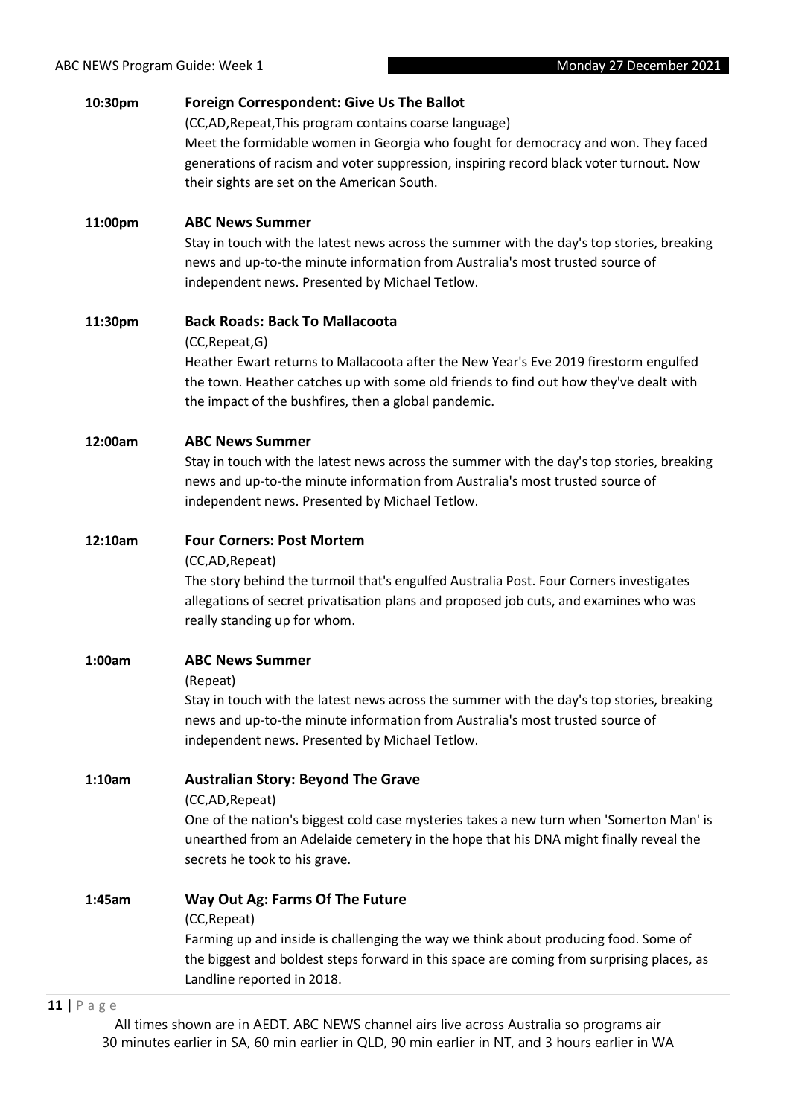| 10:30pm | <b>Foreign Correspondent: Give Us The Ballot</b><br>(CC,AD, Repeat, This program contains coarse language)<br>Meet the formidable women in Georgia who fought for democracy and won. They faced<br>generations of racism and voter suppression, inspiring record black voter turnout. Now<br>their sights are set on the American South. |
|---------|------------------------------------------------------------------------------------------------------------------------------------------------------------------------------------------------------------------------------------------------------------------------------------------------------------------------------------------|
| 11:00pm | <b>ABC News Summer</b><br>Stay in touch with the latest news across the summer with the day's top stories, breaking<br>news and up-to-the minute information from Australia's most trusted source of<br>independent news. Presented by Michael Tetlow.                                                                                   |
| 11:30pm | <b>Back Roads: Back To Mallacoota</b><br>(CC, Repeat, G)<br>Heather Ewart returns to Mallacoota after the New Year's Eve 2019 firestorm engulfed<br>the town. Heather catches up with some old friends to find out how they've dealt with<br>the impact of the bushfires, then a global pandemic.                                        |
| 12:00am | <b>ABC News Summer</b><br>Stay in touch with the latest news across the summer with the day's top stories, breaking<br>news and up-to-the minute information from Australia's most trusted source of<br>independent news. Presented by Michael Tetlow.                                                                                   |
| 12:10am | <b>Four Corners: Post Mortem</b><br>(CC,AD, Repeat)<br>The story behind the turmoil that's engulfed Australia Post. Four Corners investigates<br>allegations of secret privatisation plans and proposed job cuts, and examines who was<br>really standing up for whom.                                                                   |
| 1:00am  | <b>ABC News Summer</b><br>(Repeat)<br>Stay in touch with the latest news across the summer with the day's top stories, breaking<br>news and up-to-the minute information from Australia's most trusted source of<br>independent news. Presented by Michael Tetlow.                                                                       |
| 1:10am  | <b>Australian Story: Beyond The Grave</b><br>(CC,AD,Repeat)<br>One of the nation's biggest cold case mysteries takes a new turn when 'Somerton Man' is<br>unearthed from an Adelaide cemetery in the hope that his DNA might finally reveal the<br>secrets he took to his grave.                                                         |
| 1:45am  | <b>Way Out Ag: Farms Of The Future</b><br>(CC, Repeat)<br>Farming up and inside is challenging the way we think about producing food. Some of<br>the biggest and boldest steps forward in this space are coming from surprising places, as<br>Landline reported in 2018.                                                                 |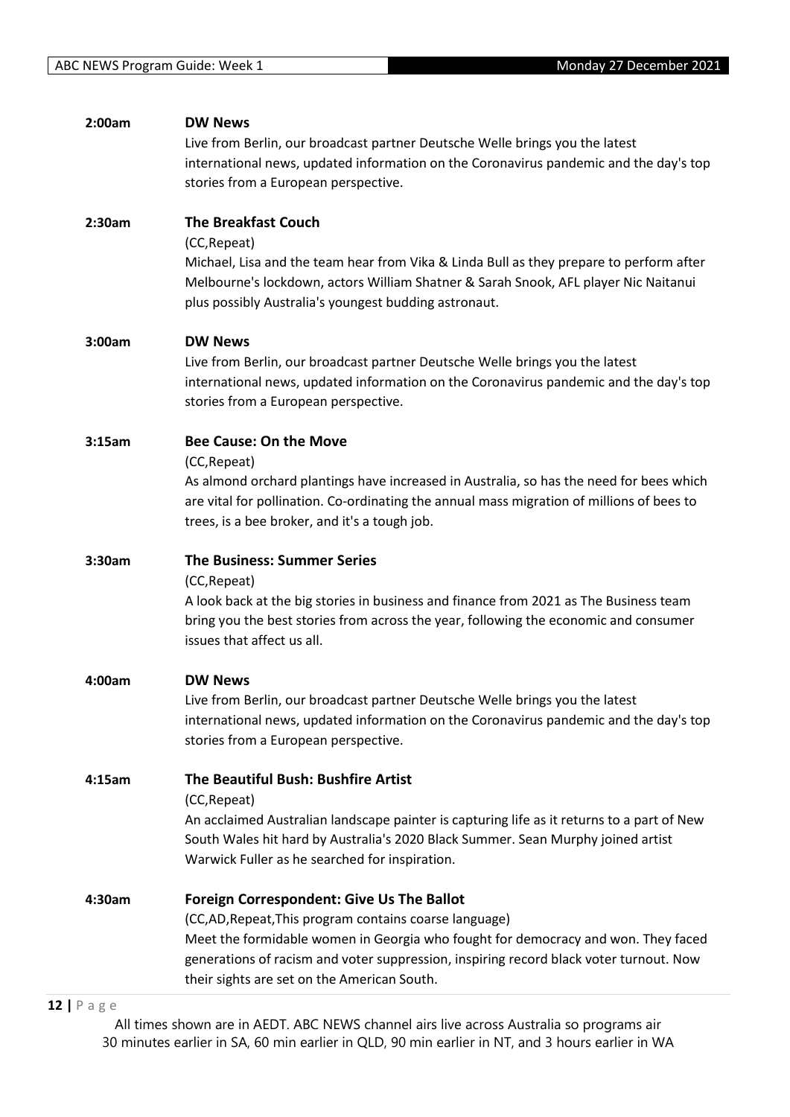| 2:00am | <b>DW News</b>                                                                             |
|--------|--------------------------------------------------------------------------------------------|
|        | Live from Berlin, our broadcast partner Deutsche Welle brings you the latest               |
|        | international news, updated information on the Coronavirus pandemic and the day's top      |
|        | stories from a European perspective.                                                       |
|        |                                                                                            |
| 2:30am | <b>The Breakfast Couch</b>                                                                 |
|        | (CC, Repeat)                                                                               |
|        |                                                                                            |
|        | Michael, Lisa and the team hear from Vika & Linda Bull as they prepare to perform after    |
|        | Melbourne's lockdown, actors William Shatner & Sarah Snook, AFL player Nic Naitanui        |
|        | plus possibly Australia's youngest budding astronaut.                                      |
|        |                                                                                            |
| 3:00am | <b>DW News</b>                                                                             |
|        | Live from Berlin, our broadcast partner Deutsche Welle brings you the latest               |
|        | international news, updated information on the Coronavirus pandemic and the day's top      |
|        | stories from a European perspective.                                                       |
|        |                                                                                            |
| 3:15am | <b>Bee Cause: On the Move</b>                                                              |
|        | (CC, Repeat)                                                                               |
|        | As almond orchard plantings have increased in Australia, so has the need for bees which    |
|        | are vital for pollination. Co-ordinating the annual mass migration of millions of bees to  |
|        | trees, is a bee broker, and it's a tough job.                                              |
|        |                                                                                            |
| 3:30am | <b>The Business: Summer Series</b>                                                         |
|        | (CC, Repeat)                                                                               |
|        | A look back at the big stories in business and finance from 2021 as The Business team      |
|        | bring you the best stories from across the year, following the economic and consumer       |
|        | issues that affect us all.                                                                 |
|        |                                                                                            |
| 4:00am | <b>DW News</b>                                                                             |
|        | Live from Berlin, our broadcast partner Deutsche Welle brings you the latest               |
|        | international news, updated information on the Coronavirus pandemic and the day's top      |
|        | stories from a European perspective.                                                       |
|        |                                                                                            |
| 4:15am | The Beautiful Bush: Bushfire Artist                                                        |
|        | (CC, Repeat)                                                                               |
|        | An acclaimed Australian landscape painter is capturing life as it returns to a part of New |
|        |                                                                                            |
|        | South Wales hit hard by Australia's 2020 Black Summer. Sean Murphy joined artist           |
|        | Warwick Fuller as he searched for inspiration.                                             |
|        |                                                                                            |
| 4:30am | <b>Foreign Correspondent: Give Us The Ballot</b>                                           |
|        | (CC,AD, Repeat, This program contains coarse language)                                     |
|        | Meet the formidable women in Georgia who fought for democracy and won. They faced          |
|        | generations of racism and voter suppression, inspiring record black voter turnout. Now     |
|        | their sights are set on the American South.                                                |
|        |                                                                                            |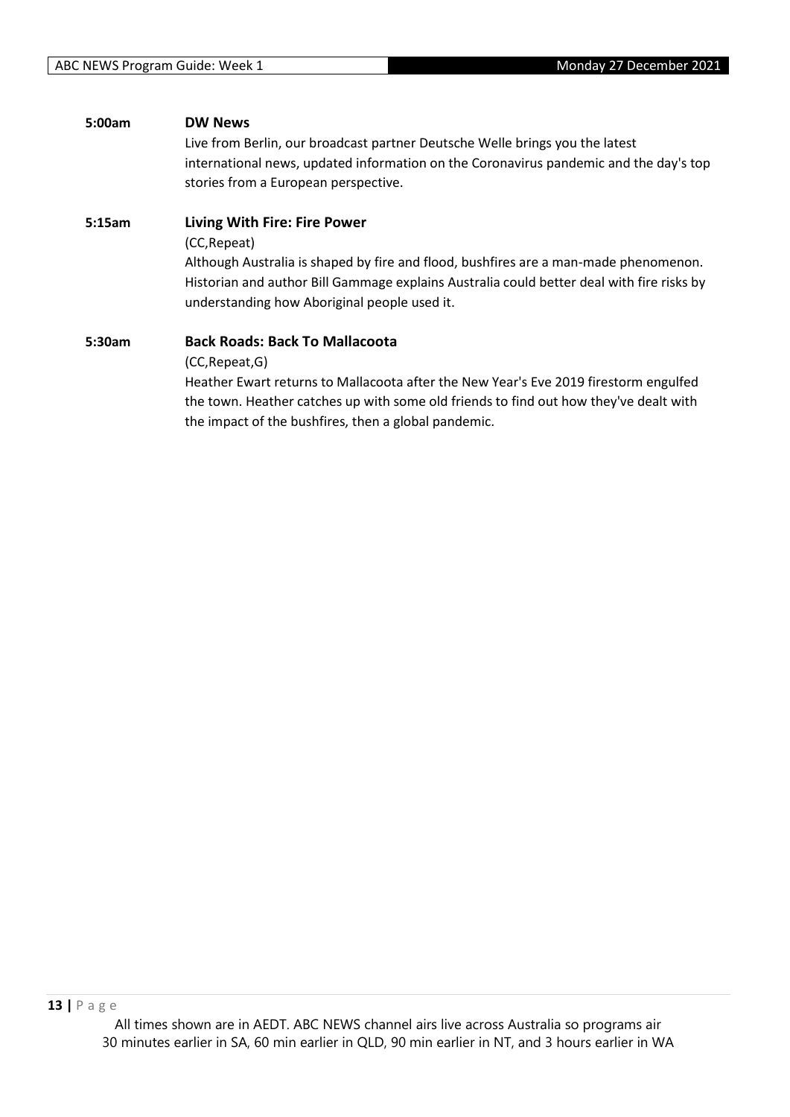| 5:00am | <b>DW News</b>                                                                            |
|--------|-------------------------------------------------------------------------------------------|
|        | Live from Berlin, our broadcast partner Deutsche Welle brings you the latest              |
|        | international news, updated information on the Coronavirus pandemic and the day's top     |
|        | stories from a European perspective.                                                      |
| 5:15am | <b>Living With Fire: Fire Power</b>                                                       |
|        | (CC, Repeat)                                                                              |
|        | Although Australia is shaped by fire and flood, bushfires are a man-made phenomenon.      |
|        | Historian and author Bill Gammage explains Australia could better deal with fire risks by |
|        | understanding how Aboriginal people used it.                                              |
| 5:30am | <b>Back Roads: Back To Mallacoota</b>                                                     |
|        | (CC, Repeat, G)                                                                           |
|        | Heather Ewart returns to Mallacoota after the New Year's Eve 2019 firestorm engulfed      |
|        | the town. Heather catches up with some old friends to find out how they've dealt with     |
|        | the impact of the bushfires, then a global pandemic.                                      |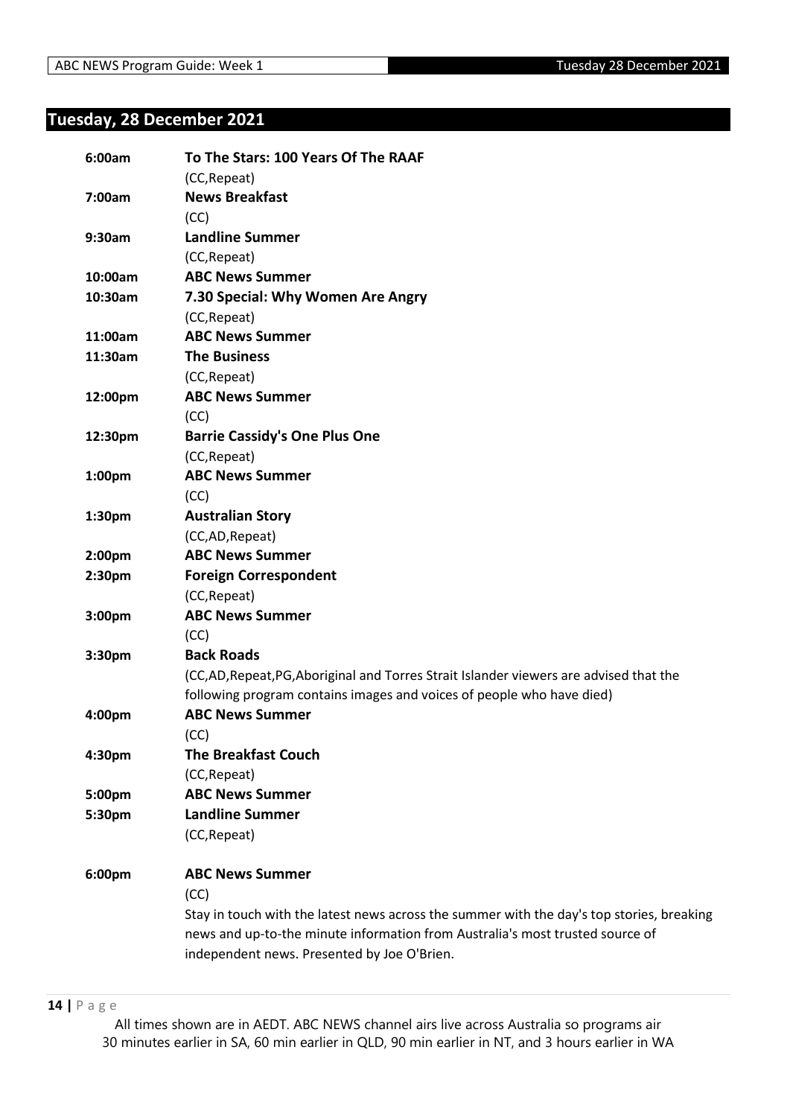# <span id="page-13-0"></span>**Tuesday, 28 December 2021**

| 6:00am             | To The Stars: 100 Years Of The RAAF                                                       |
|--------------------|-------------------------------------------------------------------------------------------|
|                    | (CC, Repeat)                                                                              |
| 7:00am             | <b>News Breakfast</b><br>(CC)                                                             |
| 9:30am             | <b>Landline Summer</b>                                                                    |
|                    | (CC, Repeat)                                                                              |
| 10:00am            | <b>ABC News Summer</b>                                                                    |
| 10:30am            | 7.30 Special: Why Women Are Angry                                                         |
|                    | (CC, Repeat)                                                                              |
| 11:00am            | <b>ABC News Summer</b>                                                                    |
| 11:30am            | <b>The Business</b>                                                                       |
|                    | (CC, Repeat)                                                                              |
| 12:00pm            | <b>ABC News Summer</b>                                                                    |
|                    | (CC)                                                                                      |
| 12:30pm            | <b>Barrie Cassidy's One Plus One</b>                                                      |
|                    | (CC, Repeat)                                                                              |
| 1:00 <sub>pm</sub> | <b>ABC News Summer</b>                                                                    |
|                    | (CC)                                                                                      |
| 1:30pm             | <b>Australian Story</b>                                                                   |
|                    | (CC,AD, Repeat)                                                                           |
| 2:00 <sub>pm</sub> | <b>ABC News Summer</b>                                                                    |
| 2:30pm             | <b>Foreign Correspondent</b>                                                              |
|                    | (CC, Repeat)                                                                              |
| 3:00pm             | <b>ABC News Summer</b>                                                                    |
|                    | (CC)                                                                                      |
| 3:30pm             | <b>Back Roads</b>                                                                         |
|                    | (CC,AD,Repeat,PG,Aboriginal and Torres Strait Islander viewers are advised that the       |
|                    | following program contains images and voices of people who have died)                     |
| 4:00pm             | <b>ABC News Summer</b>                                                                    |
|                    | (CC)                                                                                      |
| 4:30pm             | <b>The Breakfast Couch</b>                                                                |
|                    | (CC, Repeat)                                                                              |
| 5:00pm             | <b>ABC News Summer</b>                                                                    |
| 5:30pm             | <b>Landline Summer</b>                                                                    |
|                    | (CC, Repeat)                                                                              |
| 6:00pm             | <b>ABC News Summer</b>                                                                    |
|                    | (CC)                                                                                      |
|                    | Stay in touch with the latest news across the summer with the day's top stories, breaking |
|                    | news and up-to-the minute information from Australia's most trusted source of             |
|                    | independent news. Presented by Joe O'Brien.                                               |
|                    |                                                                                           |

**14 |** P a g e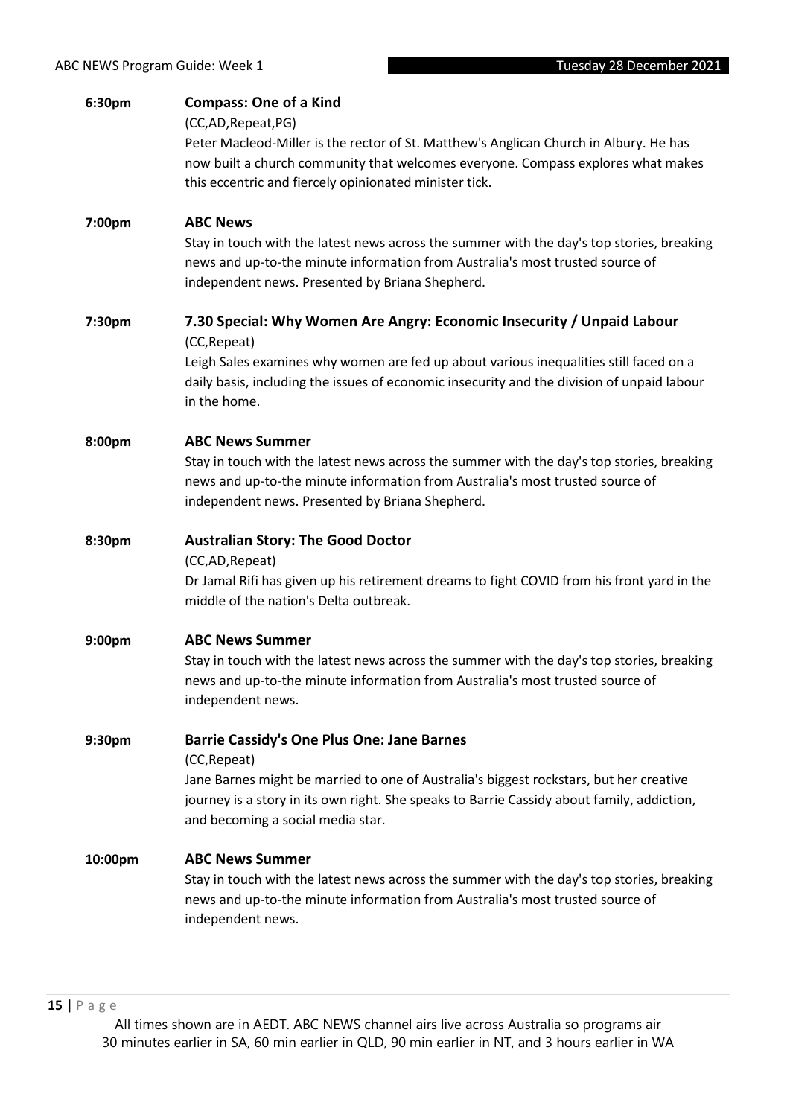| 6:30pm  | <b>Compass: One of a Kind</b><br>(CC,AD,Repeat,PG)<br>Peter Macleod-Miller is the rector of St. Matthew's Anglican Church in Albury. He has<br>now built a church community that welcomes everyone. Compass explores what makes<br>this eccentric and fiercely opinionated minister tick.      |
|---------|------------------------------------------------------------------------------------------------------------------------------------------------------------------------------------------------------------------------------------------------------------------------------------------------|
| 7:00pm  | <b>ABC News</b><br>Stay in touch with the latest news across the summer with the day's top stories, breaking<br>news and up-to-the minute information from Australia's most trusted source of<br>independent news. Presented by Briana Shepherd.                                               |
| 7:30pm  | 7.30 Special: Why Women Are Angry: Economic Insecurity / Unpaid Labour<br>(CC, Repeat)<br>Leigh Sales examines why women are fed up about various inequalities still faced on a<br>daily basis, including the issues of economic insecurity and the division of unpaid labour<br>in the home.  |
| 8:00pm  | <b>ABC News Summer</b><br>Stay in touch with the latest news across the summer with the day's top stories, breaking<br>news and up-to-the minute information from Australia's most trusted source of<br>independent news. Presented by Briana Shepherd.                                        |
| 8:30pm  | <b>Australian Story: The Good Doctor</b><br>(CC,AD,Repeat)<br>Dr Jamal Rifi has given up his retirement dreams to fight COVID from his front yard in the<br>middle of the nation's Delta outbreak.                                                                                             |
| 9:00pm  | <b>ABC News Summer</b><br>Stay in touch with the latest news across the summer with the day's top stories, breaking<br>news and up-to-the minute information from Australia's most trusted source of<br>independent news.                                                                      |
| 9:30pm  | <b>Barrie Cassidy's One Plus One: Jane Barnes</b><br>(CC, Repeat)<br>Jane Barnes might be married to one of Australia's biggest rockstars, but her creative<br>journey is a story in its own right. She speaks to Barrie Cassidy about family, addiction,<br>and becoming a social media star. |
| 10:00pm | <b>ABC News Summer</b><br>Stay in touch with the latest news across the summer with the day's top stories, breaking<br>news and up-to-the minute information from Australia's most trusted source of<br>independent news.                                                                      |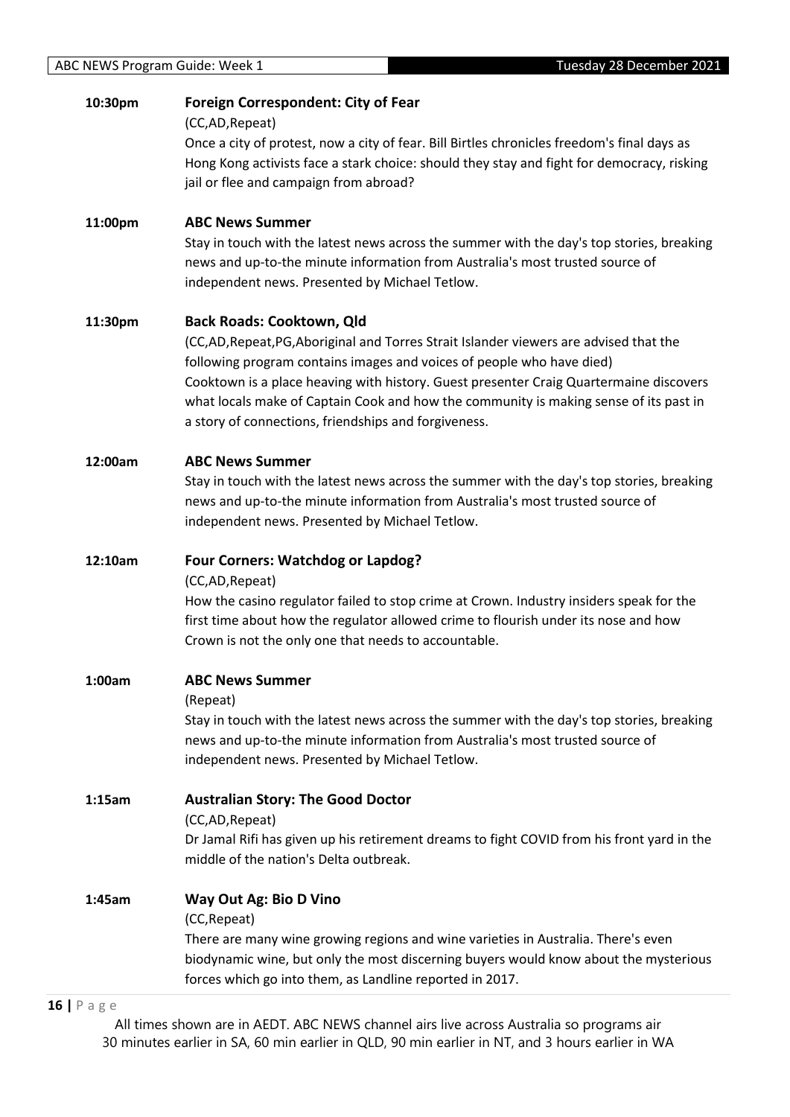# **10:30pm Foreign Correspondent: City of Fear**

(CC,AD,Repeat)

Once a city of protest, now a city of fear. Bill Birtles chronicles freedom's final days as Hong Kong activists face a stark choice: should they stay and fight for democracy, risking jail or flee and campaign from abroad?

# **11:00pm ABC News Summer**

Stay in touch with the latest news across the summer with the day's top stories, breaking news and up-to-the minute information from Australia's most trusted source of independent news. Presented by Michael Tetlow.

# **11:30pm Back Roads: Cooktown, Qld**

(CC,AD,Repeat,PG,Aboriginal and Torres Strait Islander viewers are advised that the following program contains images and voices of people who have died) Cooktown is a place heaving with history. Guest presenter Craig Quartermaine discovers what locals make of Captain Cook and how the community is making sense of its past in a story of connections, friendships and forgiveness.

## **12:00am ABC News Summer**

Stay in touch with the latest news across the summer with the day's top stories, breaking news and up-to-the minute information from Australia's most trusted source of independent news. Presented by Michael Tetlow.

## **12:10am Four Corners: Watchdog or Lapdog?**

(CC,AD,Repeat)

How the casino regulator failed to stop crime at Crown. Industry insiders speak for the first time about how the regulator allowed crime to flourish under its nose and how Crown is not the only one that needs to accountable.

## **1:00am ABC News Summer**

#### (Repeat)

Stay in touch with the latest news across the summer with the day's top stories, breaking news and up-to-the minute information from Australia's most trusted source of independent news. Presented by Michael Tetlow.

**1:15am Australian Story: The Good Doctor**

(CC,AD,Repeat)

Dr Jamal Rifi has given up his retirement dreams to fight COVID from his front yard in the middle of the nation's Delta outbreak.

## **1:45am Way Out Ag: Bio D Vino**

(CC,Repeat)

There are many wine growing regions and wine varieties in Australia. There's even biodynamic wine, but only the most discerning buyers would know about the mysterious forces which go into them, as Landline reported in 2017.

#### **16 |** P a g e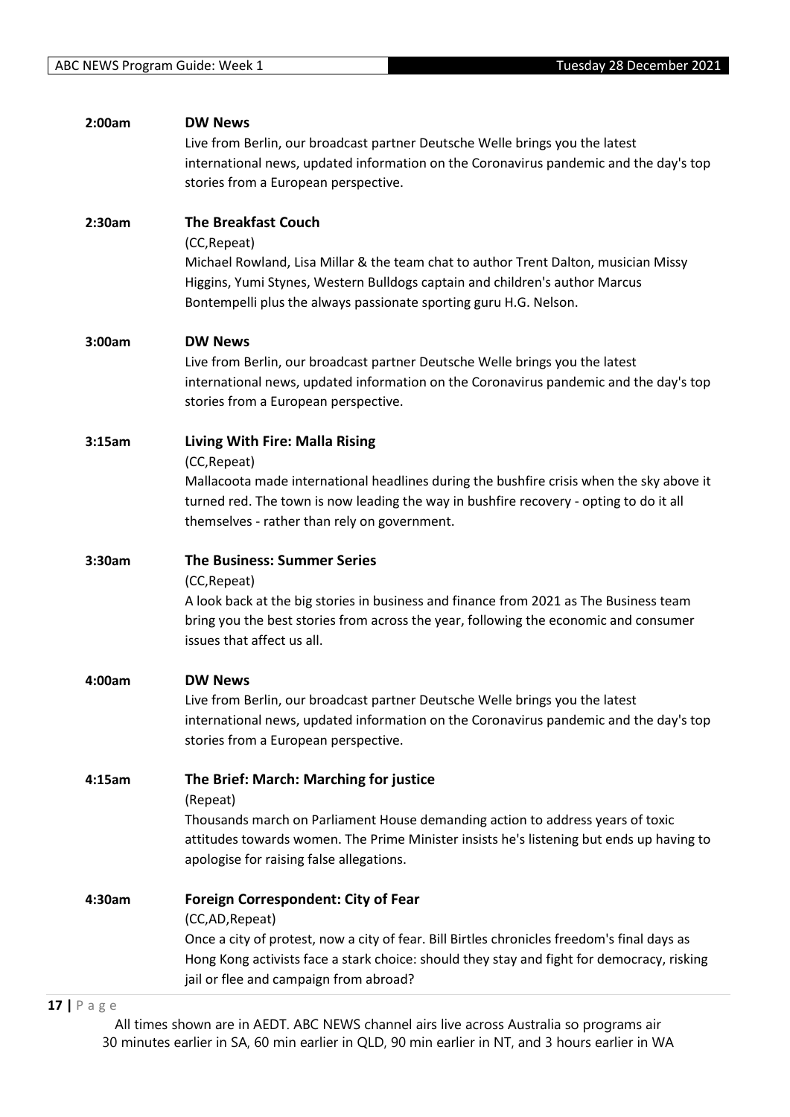| 2:00am | <b>DW News</b>                                                                              |
|--------|---------------------------------------------------------------------------------------------|
|        | Live from Berlin, our broadcast partner Deutsche Welle brings you the latest                |
|        | international news, updated information on the Coronavirus pandemic and the day's top       |
|        | stories from a European perspective.                                                        |
| 2:30am | <b>The Breakfast Couch</b>                                                                  |
|        | (CC, Repeat)                                                                                |
|        | Michael Rowland, Lisa Millar & the team chat to author Trent Dalton, musician Missy         |
|        | Higgins, Yumi Stynes, Western Bulldogs captain and children's author Marcus                 |
|        | Bontempelli plus the always passionate sporting guru H.G. Nelson.                           |
| 3:00am | <b>DW News</b>                                                                              |
|        | Live from Berlin, our broadcast partner Deutsche Welle brings you the latest                |
|        | international news, updated information on the Coronavirus pandemic and the day's top       |
|        | stories from a European perspective.                                                        |
| 3:15am | Living With Fire: Malla Rising                                                              |
|        | (CC, Repeat)                                                                                |
|        | Mallacoota made international headlines during the bushfire crisis when the sky above it    |
|        | turned red. The town is now leading the way in bushfire recovery - opting to do it all      |
|        | themselves - rather than rely on government.                                                |
| 3:30am | <b>The Business: Summer Series</b>                                                          |
|        | (CC, Repeat)                                                                                |
|        | A look back at the big stories in business and finance from 2021 as The Business team       |
|        | bring you the best stories from across the year, following the economic and consumer        |
|        | issues that affect us all.                                                                  |
| 4:00am | <b>DW News</b>                                                                              |
|        | Live from Berlin, our broadcast partner Deutsche Welle brings you the latest                |
|        | international news, updated information on the Coronavirus pandemic and the day's top       |
|        | stories from a European perspective.                                                        |
| 4:15am | The Brief: March: Marching for justice                                                      |
|        | (Repeat)                                                                                    |
|        | Thousands march on Parliament House demanding action to address years of toxic              |
|        | attitudes towards women. The Prime Minister insists he's listening but ends up having to    |
|        | apologise for raising false allegations.                                                    |
| 4:30am | <b>Foreign Correspondent: City of Fear</b>                                                  |
|        | (CC,AD, Repeat)                                                                             |
|        | Once a city of protest, now a city of fear. Bill Birtles chronicles freedom's final days as |
|        | Hong Kong activists face a stark choice: should they stay and fight for democracy, risking  |
|        | jail or flee and campaign from abroad?                                                      |

# **17 |** P a g e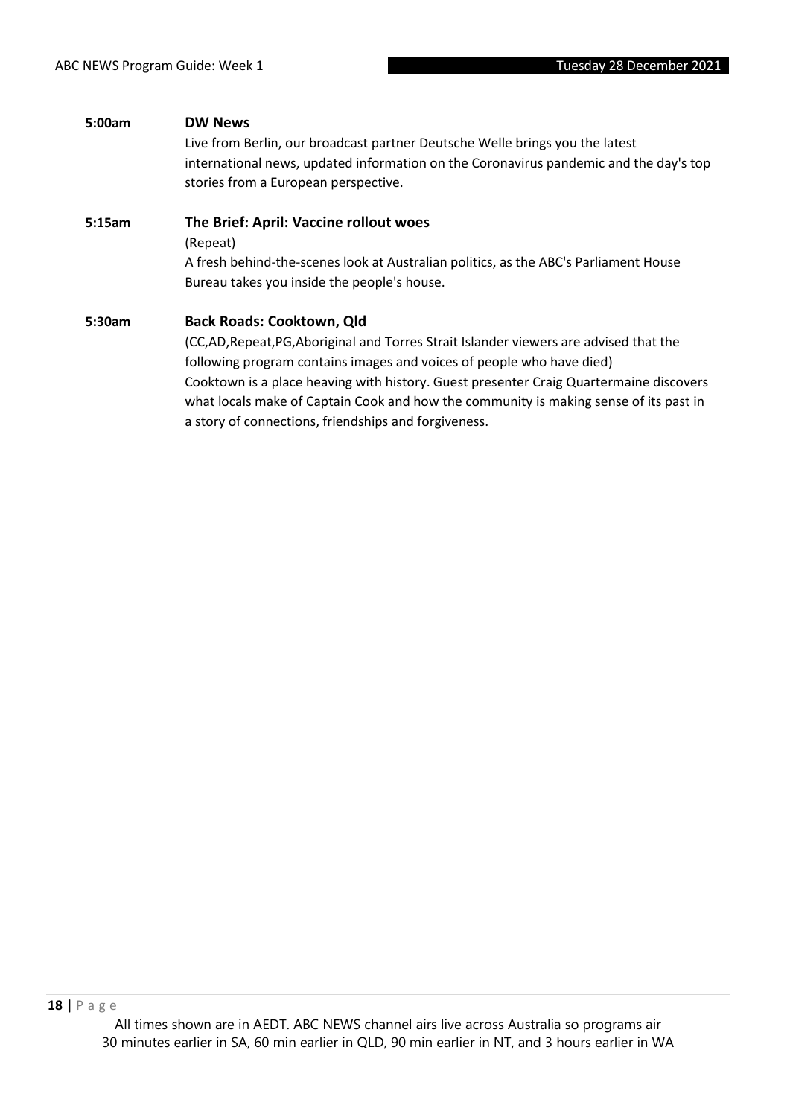| 5:00am | <b>DW News</b>                                                                         |
|--------|----------------------------------------------------------------------------------------|
|        | Live from Berlin, our broadcast partner Deutsche Welle brings you the latest           |
|        | international news, updated information on the Coronavirus pandemic and the day's top  |
|        | stories from a European perspective.                                                   |
| 5:15am | The Brief: April: Vaccine rollout woes                                                 |
|        | (Repeat)                                                                               |
|        | A fresh behind-the-scenes look at Australian politics, as the ABC's Parliament House   |
|        | Bureau takes you inside the people's house.                                            |
| 5:30am | <b>Back Roads: Cooktown, Qld</b>                                                       |
|        | (CC,AD, Repeat, PG, Aboriginal and Torres Strait Islander viewers are advised that the |
|        | following program contains images and voices of people who have died)                  |

Cooktown is a place heaving with history. Guest presenter Craig Quartermaine discovers what locals make of Captain Cook and how the community is making sense of its past in a story of connections, friendships and forgiveness.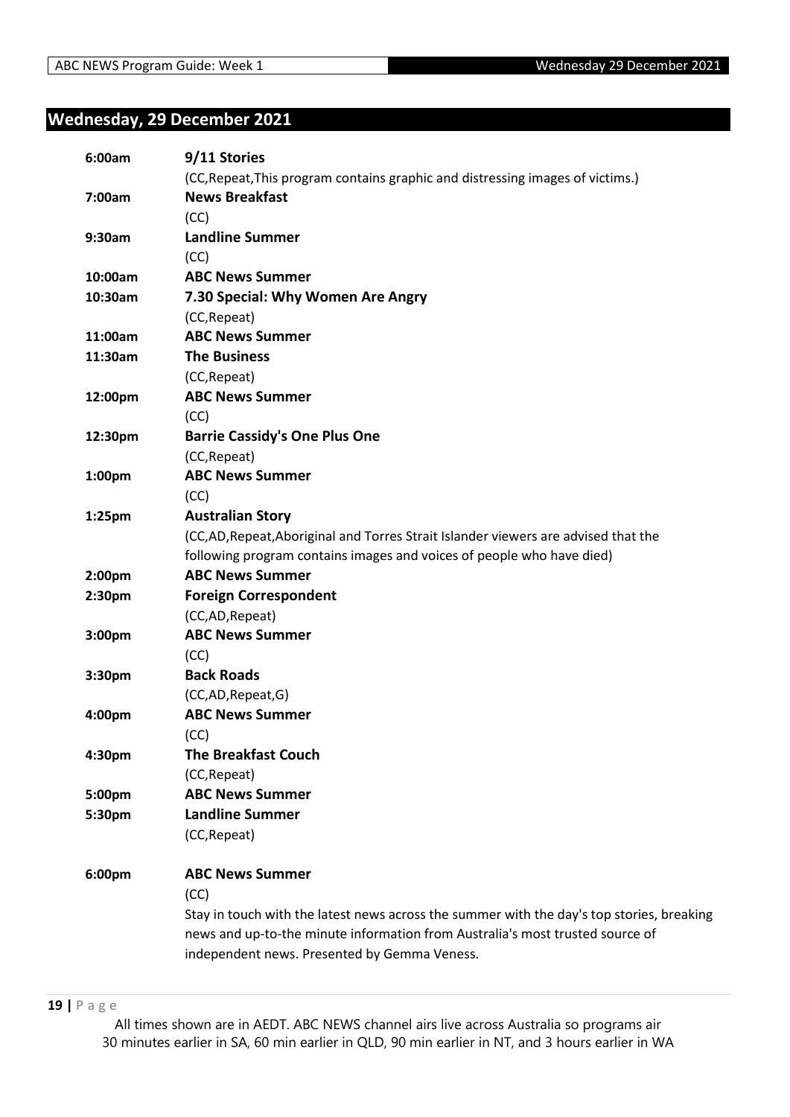# <span id="page-18-0"></span>**Wednesday, 29 December 2021**

| 6:00am             | 9/11 Stories                                                                              |
|--------------------|-------------------------------------------------------------------------------------------|
|                    | (CC, Repeat, This program contains graphic and distressing images of victims.)            |
| 7:00am             | <b>News Breakfast</b>                                                                     |
|                    | (CC)                                                                                      |
| 9:30am             | <b>Landline Summer</b>                                                                    |
|                    | (CC)                                                                                      |
| 10:00am            | <b>ABC News Summer</b>                                                                    |
| 10:30am            | 7.30 Special: Why Women Are Angry                                                         |
|                    | (CC, Repeat)                                                                              |
| 11:00am            | <b>ABC News Summer</b>                                                                    |
| 11:30am            | <b>The Business</b>                                                                       |
|                    | (CC, Repeat)                                                                              |
| 12:00pm            | <b>ABC News Summer</b>                                                                    |
|                    | (CC)                                                                                      |
| 12:30pm            | <b>Barrie Cassidy's One Plus One</b>                                                      |
|                    | (CC, Repeat)                                                                              |
| 1:00 <sub>pm</sub> | <b>ABC News Summer</b>                                                                    |
|                    | (CC)                                                                                      |
| $1:25$ pm          | <b>Australian Story</b>                                                                   |
|                    | (CC,AD, Repeat, Aboriginal and Torres Strait Islander viewers are advised that the        |
|                    | following program contains images and voices of people who have died)                     |
| 2:00 <sub>pm</sub> | <b>ABC News Summer</b>                                                                    |
| 2:30pm             | <b>Foreign Correspondent</b>                                                              |
|                    | (CC,AD,Repeat)                                                                            |
| 3:00pm             | <b>ABC News Summer</b>                                                                    |
|                    | (CC)                                                                                      |
| 3:30pm             | <b>Back Roads</b>                                                                         |
|                    | (CC,AD,Repeat,G)                                                                          |
| 4:00pm             | <b>ABC News Summer</b>                                                                    |
|                    | (CC)                                                                                      |
| 4:30pm             | <b>The Breakfast Couch</b>                                                                |
|                    | (CC, Repeat)                                                                              |
| 5:00pm             | <b>ABC News Summer</b>                                                                    |
| 5:30pm             | <b>Landline Summer</b>                                                                    |
|                    | (CC, Repeat)                                                                              |
| 6:00pm             | <b>ABC News Summer</b>                                                                    |
|                    | (CC)                                                                                      |
|                    | Stay in touch with the latest news across the summer with the day's top stories, breaking |
|                    | news and up-to-the minute information from Australia's most trusted source of             |
|                    | independent news. Presented by Gemma Veness.                                              |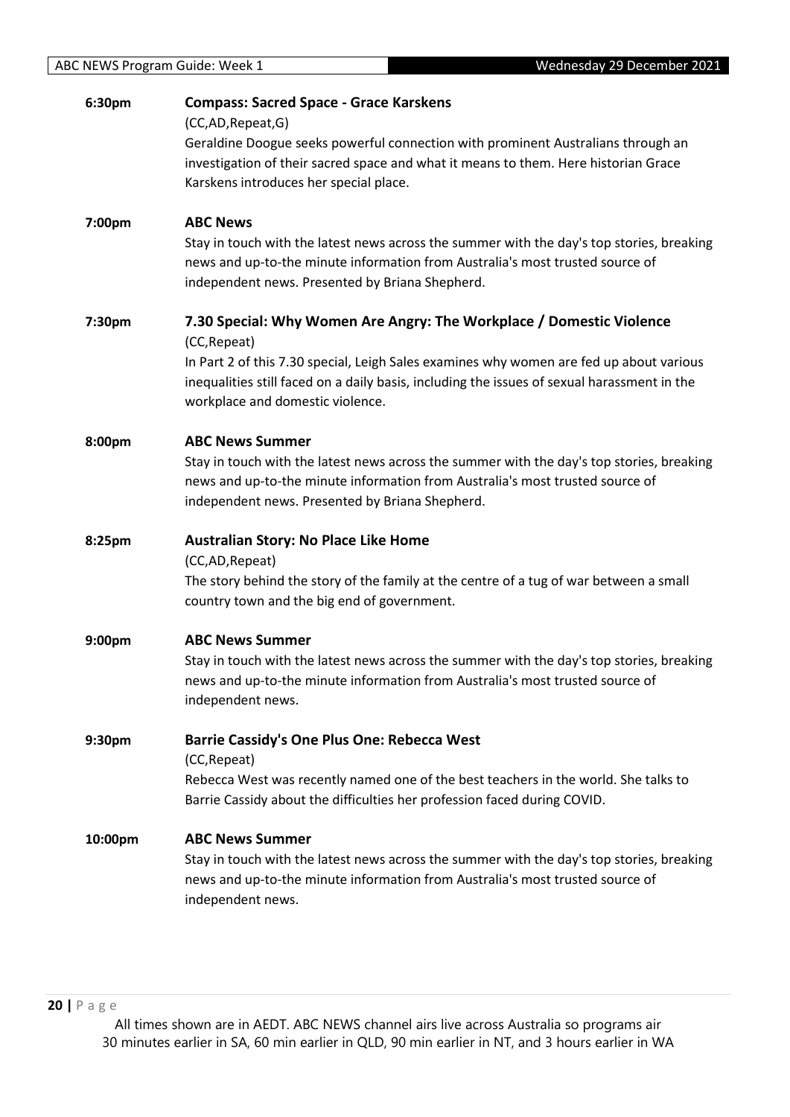| 6:30pm  | <b>Compass: Sacred Space - Grace Karskens</b>                                                       |
|---------|-----------------------------------------------------------------------------------------------------|
|         | (CC,AD,Repeat,G)                                                                                    |
|         | Geraldine Doogue seeks powerful connection with prominent Australians through an                    |
|         | investigation of their sacred space and what it means to them. Here historian Grace                 |
|         | Karskens introduces her special place.                                                              |
| 7:00pm  | <b>ABC News</b>                                                                                     |
|         | Stay in touch with the latest news across the summer with the day's top stories, breaking           |
|         | news and up-to-the minute information from Australia's most trusted source of                       |
|         | independent news. Presented by Briana Shepherd.                                                     |
| 7:30pm  | 7.30 Special: Why Women Are Angry: The Workplace / Domestic Violence                                |
|         | (CC, Repeat)                                                                                        |
|         | In Part 2 of this 7.30 special, Leigh Sales examines why women are fed up about various             |
|         | inequalities still faced on a daily basis, including the issues of sexual harassment in the         |
|         | workplace and domestic violence.                                                                    |
| 8:00pm  | <b>ABC News Summer</b>                                                                              |
|         | Stay in touch with the latest news across the summer with the day's top stories, breaking           |
|         | news and up-to-the minute information from Australia's most trusted source of                       |
|         | independent news. Presented by Briana Shepherd.                                                     |
|         |                                                                                                     |
| 8:25pm  | <b>Australian Story: No Place Like Home</b>                                                         |
|         | (CC,AD,Repeat)                                                                                      |
|         | The story behind the story of the family at the centre of a tug of war between a small              |
|         | country town and the big end of government.                                                         |
| 9:00pm  | <b>ABC News Summer</b>                                                                              |
|         | Stay in touch with the latest news across the summer with the day's top stories, breaking           |
|         | news and up-to-the minute information from Australia's most trusted source of                       |
|         | independent news.                                                                                   |
|         |                                                                                                     |
| 9:30pm  | <b>Barrie Cassidy's One Plus One: Rebecca West</b>                                                  |
|         | (CC, Repeat)<br>Rebecca West was recently named one of the best teachers in the world. She talks to |
|         | Barrie Cassidy about the difficulties her profession faced during COVID.                            |
| 10:00pm | <b>ABC News Summer</b>                                                                              |
|         | Stay in touch with the latest news across the summer with the day's top stories, breaking           |
|         | news and up-to-the minute information from Australia's most trusted source of                       |
|         | independent news.                                                                                   |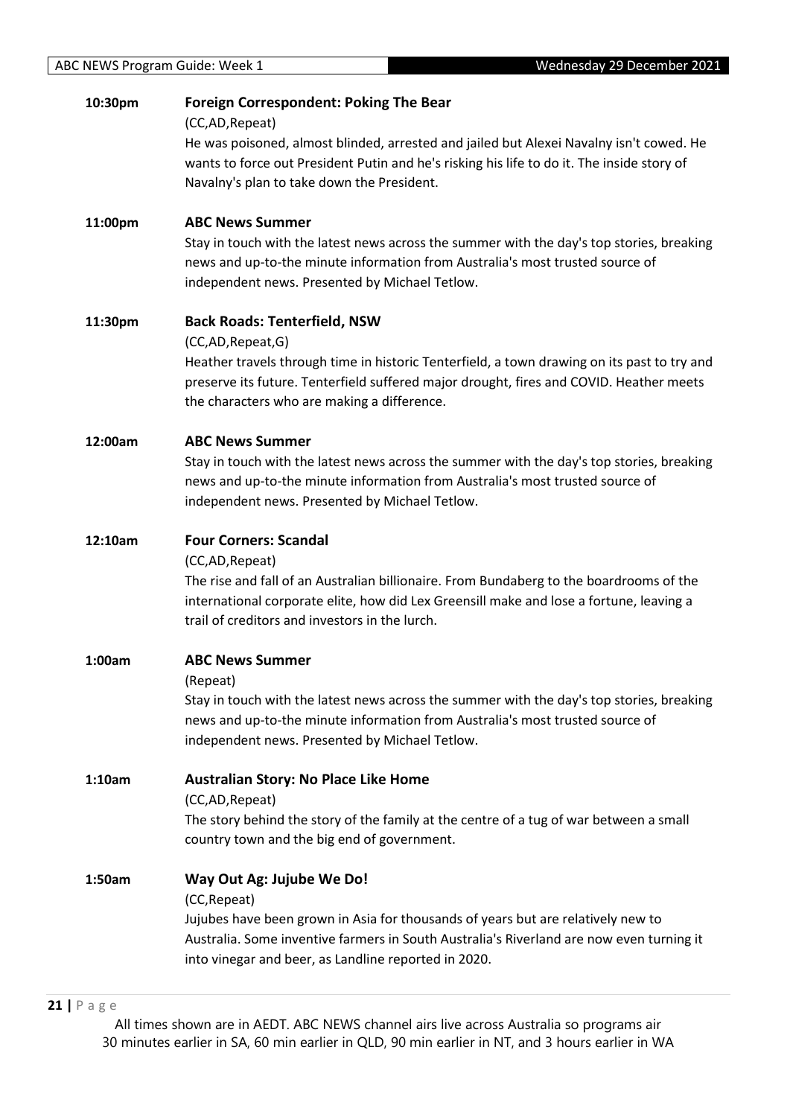| 10:30pm | <b>Foreign Correspondent: Poking The Bear</b><br>(CC,AD, Repeat)                                                                                                                                                                                                                                 |
|---------|--------------------------------------------------------------------------------------------------------------------------------------------------------------------------------------------------------------------------------------------------------------------------------------------------|
|         | He was poisoned, almost blinded, arrested and jailed but Alexei Navalny isn't cowed. He<br>wants to force out President Putin and he's risking his life to do it. The inside story of<br>Navalny's plan to take down the President.                                                              |
|         |                                                                                                                                                                                                                                                                                                  |
| 11:00pm | <b>ABC News Summer</b><br>Stay in touch with the latest news across the summer with the day's top stories, breaking<br>news and up-to-the minute information from Australia's most trusted source of<br>independent news. Presented by Michael Tetlow.                                           |
| 11:30pm | <b>Back Roads: Tenterfield, NSW</b><br>(CC,AD,Repeat,G)<br>Heather travels through time in historic Tenterfield, a town drawing on its past to try and<br>preserve its future. Tenterfield suffered major drought, fires and COVID. Heather meets<br>the characters who are making a difference. |
| 12:00am | <b>ABC News Summer</b><br>Stay in touch with the latest news across the summer with the day's top stories, breaking<br>news and up-to-the minute information from Australia's most trusted source of<br>independent news. Presented by Michael Tetlow.                                           |
| 12:10am | <b>Four Corners: Scandal</b><br>(CC,AD, Repeat)<br>The rise and fall of an Australian billionaire. From Bundaberg to the boardrooms of the<br>international corporate elite, how did Lex Greensill make and lose a fortune, leaving a<br>trail of creditors and investors in the lurch.          |
| 1:00am  | <b>ABC News Summer</b><br>(Repeat)<br>Stay in touch with the latest news across the summer with the day's top stories, breaking<br>news and up-to-the minute information from Australia's most trusted source of<br>independent news. Presented by Michael Tetlow.                               |
| 1:10am  | <b>Australian Story: No Place Like Home</b><br>(CC,AD, Repeat)<br>The story behind the story of the family at the centre of a tug of war between a small<br>country town and the big end of government.                                                                                          |
| 1:50am  | Way Out Ag: Jujube We Do!<br>(CC, Repeat)<br>Jujubes have been grown in Asia for thousands of years but are relatively new to<br>Australia. Some inventive farmers in South Australia's Riverland are now even turning it<br>into vinegar and beer, as Landline reported in 2020.                |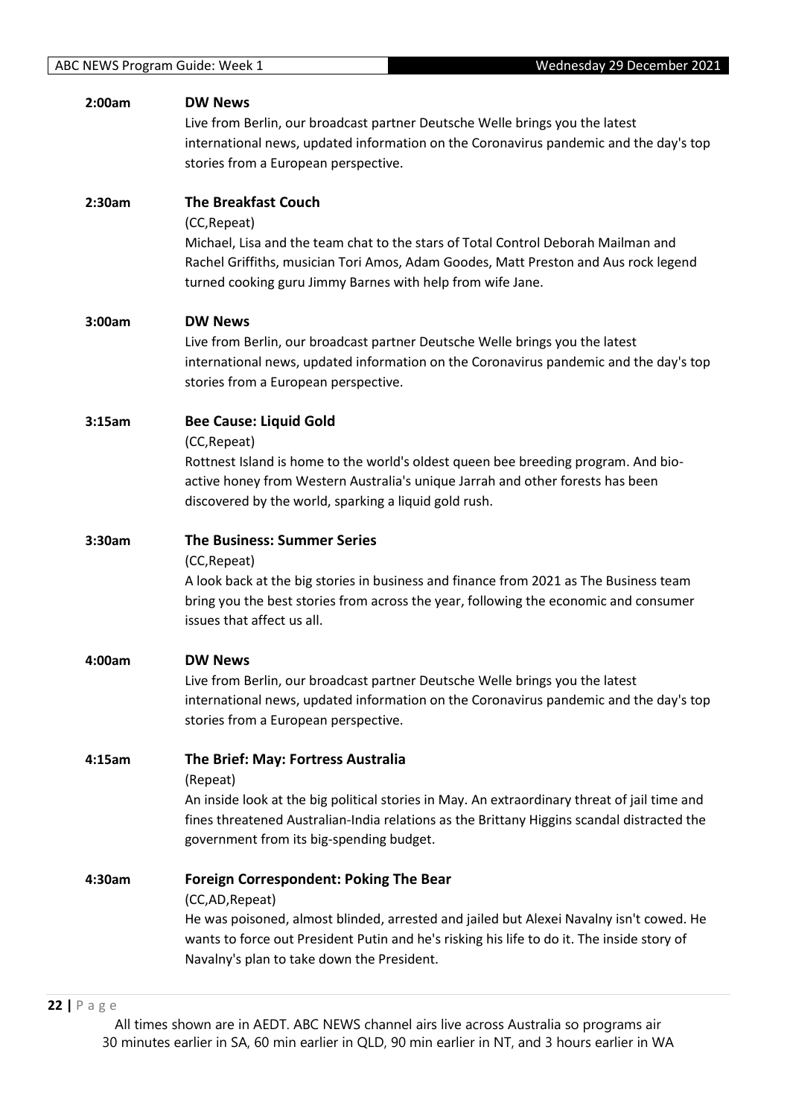| 2:00am | <b>DW News</b>                                                                               |
|--------|----------------------------------------------------------------------------------------------|
|        | Live from Berlin, our broadcast partner Deutsche Welle brings you the latest                 |
|        | international news, updated information on the Coronavirus pandemic and the day's top        |
|        | stories from a European perspective.                                                         |
| 2:30am | <b>The Breakfast Couch</b>                                                                   |
|        | (CC, Repeat)                                                                                 |
|        | Michael, Lisa and the team chat to the stars of Total Control Deborah Mailman and            |
|        | Rachel Griffiths, musician Tori Amos, Adam Goodes, Matt Preston and Aus rock legend          |
|        | turned cooking guru Jimmy Barnes with help from wife Jane.                                   |
| 3:00am | <b>DW News</b>                                                                               |
|        | Live from Berlin, our broadcast partner Deutsche Welle brings you the latest                 |
|        | international news, updated information on the Coronavirus pandemic and the day's top        |
|        | stories from a European perspective.                                                         |
| 3:15am | <b>Bee Cause: Liquid Gold</b>                                                                |
|        | (CC, Repeat)                                                                                 |
|        | Rottnest Island is home to the world's oldest queen bee breeding program. And bio-           |
|        | active honey from Western Australia's unique Jarrah and other forests has been               |
|        | discovered by the world, sparking a liquid gold rush.                                        |
| 3:30am | <b>The Business: Summer Series</b>                                                           |
|        | (CC, Repeat)                                                                                 |
|        | A look back at the big stories in business and finance from 2021 as The Business team        |
|        | bring you the best stories from across the year, following the economic and consumer         |
|        | issues that affect us all.                                                                   |
| 4:00am | <b>DW News</b>                                                                               |
|        | Live from Berlin, our broadcast partner Deutsche Welle brings you the latest                 |
|        | international news, updated information on the Coronavirus pandemic and the day's top        |
|        | stories from a European perspective.                                                         |
| 4:15am | The Brief: May: Fortress Australia                                                           |
|        | (Repeat)                                                                                     |
|        | An inside look at the big political stories in May. An extraordinary threat of jail time and |
|        | fines threatened Australian-India relations as the Brittany Higgins scandal distracted the   |
|        | government from its big-spending budget.                                                     |
| 4:30am | <b>Foreign Correspondent: Poking The Bear</b>                                                |
|        | (CC,AD, Repeat)                                                                              |
|        | He was poisoned, almost blinded, arrested and jailed but Alexei Navalny isn't cowed. He      |
|        | wants to force out President Putin and he's risking his life to do it. The inside story of   |
|        | Navalny's plan to take down the President.                                                   |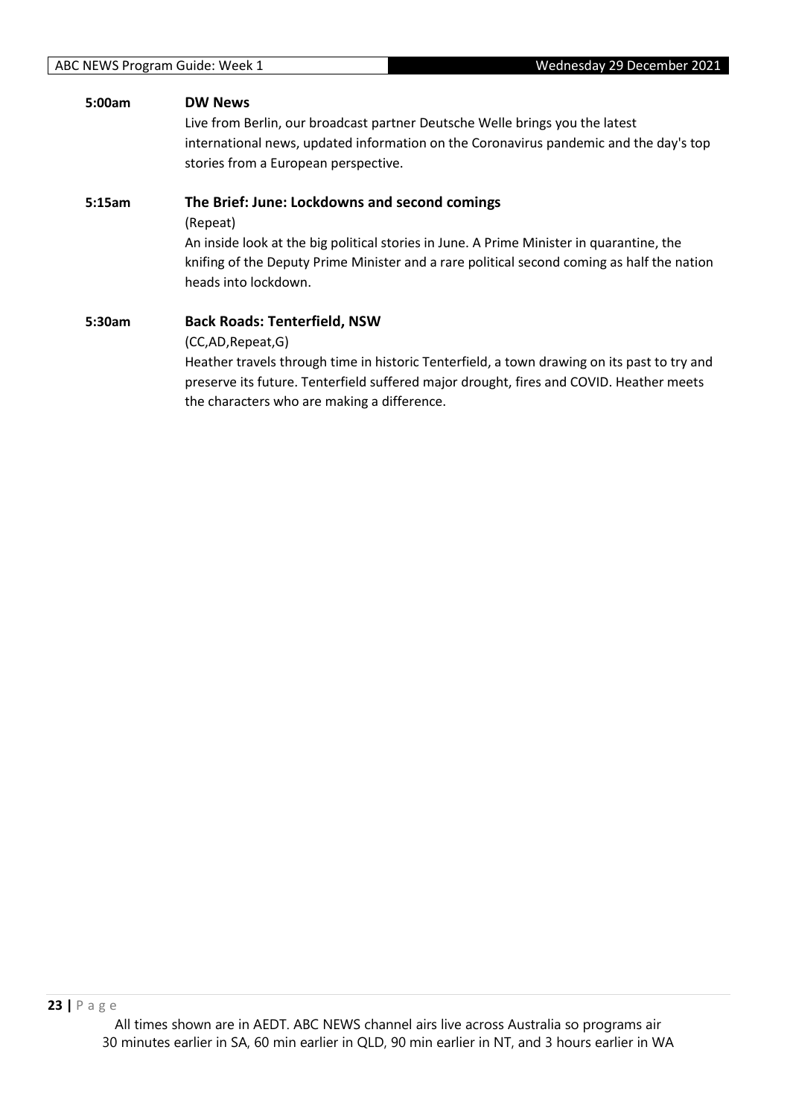# **5:00am DW News**

Live from Berlin, our broadcast partner Deutsche Welle brings you the latest international news, updated information on the Coronavirus pandemic and the day's top stories from a European perspective.

# **5:15am The Brief: June: Lockdowns and second comings**

(Repeat)

An inside look at the big political stories in June. A Prime Minister in quarantine, the knifing of the Deputy Prime Minister and a rare political second coming as half the nation heads into lockdown.

# **5:30am Back Roads: Tenterfield, NSW**

(CC,AD,Repeat,G)

Heather travels through time in historic Tenterfield, a town drawing on its past to try and preserve its future. Tenterfield suffered major drought, fires and COVID. Heather meets the characters who are making a difference.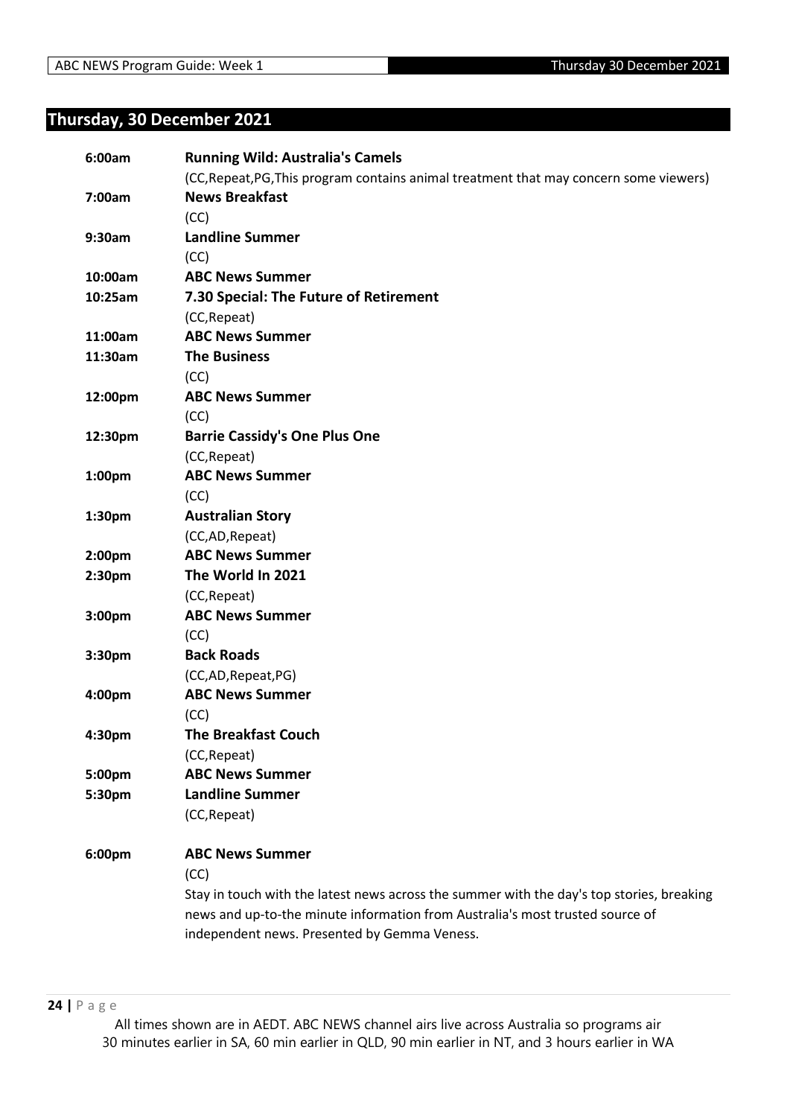# <span id="page-23-0"></span>**Thursday, 30 December 2021**

| 6:00am             | <b>Running Wild: Australia's Camels</b>                                                   |
|--------------------|-------------------------------------------------------------------------------------------|
|                    | (CC, Repeat, PG, This program contains animal treatment that may concern some viewers)    |
| 7:00am             | <b>News Breakfast</b>                                                                     |
|                    | (CC)                                                                                      |
| 9:30am             | <b>Landline Summer</b>                                                                    |
|                    | (CC)                                                                                      |
| 10:00am            | <b>ABC News Summer</b>                                                                    |
| 10:25am            | 7.30 Special: The Future of Retirement                                                    |
|                    | (CC, Repeat)                                                                              |
| 11:00am            | <b>ABC News Summer</b>                                                                    |
| 11:30am            | <b>The Business</b>                                                                       |
|                    | (CC)                                                                                      |
| 12:00pm            | <b>ABC News Summer</b>                                                                    |
|                    | (CC)                                                                                      |
| 12:30pm            | <b>Barrie Cassidy's One Plus One</b>                                                      |
|                    | (CC, Repeat)                                                                              |
| 1:00 <sub>pm</sub> | <b>ABC News Summer</b>                                                                    |
|                    | (CC)                                                                                      |
| 1:30pm             | <b>Australian Story</b>                                                                   |
|                    | (CC,AD,Repeat)                                                                            |
| 2:00 <sub>pm</sub> | <b>ABC News Summer</b>                                                                    |
| 2:30pm             | The World In 2021                                                                         |
|                    | (CC, Repeat)                                                                              |
| 3:00 <sub>pm</sub> | <b>ABC News Summer</b>                                                                    |
|                    | (CC)                                                                                      |
| 3:30pm             | <b>Back Roads</b>                                                                         |
|                    | (CC,AD, Repeat, PG)                                                                       |
| 4:00pm             | <b>ABC News Summer</b>                                                                    |
|                    | (CC)                                                                                      |
| 4:30pm             | <b>The Breakfast Couch</b>                                                                |
|                    | (CC, Repeat)                                                                              |
| 5:00pm             | <b>ABC News Summer</b>                                                                    |
| 5:30pm             | <b>Landline Summer</b>                                                                    |
|                    | (CC, Repeat)                                                                              |
| 6:00pm             | <b>ABC News Summer</b>                                                                    |
|                    | (CC)                                                                                      |
|                    | Stay in touch with the latest news across the summer with the day's top stories, breaking |
|                    | news and up-to-the minute information from Australia's most trusted source of             |
|                    | independent news. Presented by Gemma Veness.                                              |
|                    |                                                                                           |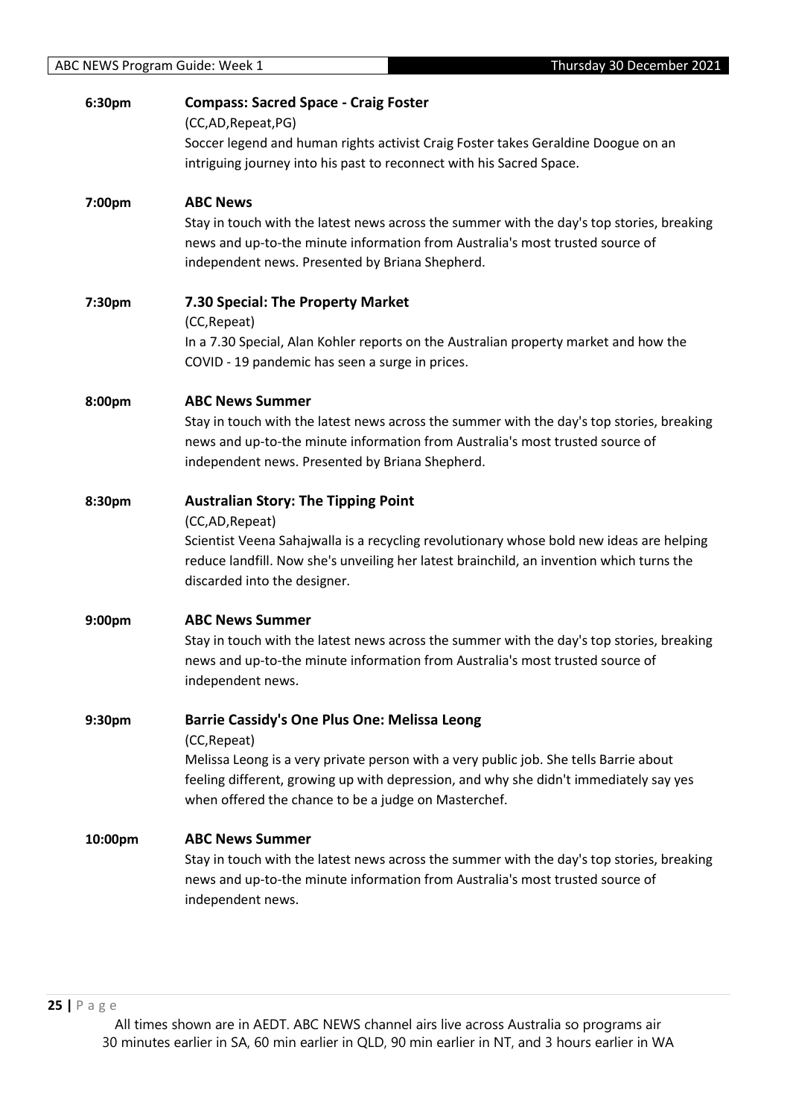| 6:30pm             | <b>Compass: Sacred Space - Craig Foster</b><br>(CC,AD,Repeat,PG)                                                                                                                                                                        |
|--------------------|-----------------------------------------------------------------------------------------------------------------------------------------------------------------------------------------------------------------------------------------|
|                    | Soccer legend and human rights activist Craig Foster takes Geraldine Doogue on an<br>intriguing journey into his past to reconnect with his Sacred Space.                                                                               |
| 7:00pm             | <b>ABC News</b>                                                                                                                                                                                                                         |
|                    | Stay in touch with the latest news across the summer with the day's top stories, breaking<br>news and up-to-the minute information from Australia's most trusted source of<br>independent news. Presented by Briana Shepherd.           |
| 7:30pm             | 7.30 Special: The Property Market<br>(CC, Repeat)<br>In a 7.30 Special, Alan Kohler reports on the Australian property market and how the                                                                                               |
|                    | COVID - 19 pandemic has seen a surge in prices.                                                                                                                                                                                         |
| 8:00pm             | <b>ABC News Summer</b>                                                                                                                                                                                                                  |
|                    | Stay in touch with the latest news across the summer with the day's top stories, breaking<br>news and up-to-the minute information from Australia's most trusted source of<br>independent news. Presented by Briana Shepherd.           |
| 8:30pm             | <b>Australian Story: The Tipping Point</b>                                                                                                                                                                                              |
|                    | (CC,AD, Repeat)<br>Scientist Veena Sahajwalla is a recycling revolutionary whose bold new ideas are helping<br>reduce landfill. Now she's unveiling her latest brainchild, an invention which turns the<br>discarded into the designer. |
| 9:00pm             | <b>ABC News Summer</b>                                                                                                                                                                                                                  |
|                    | Stay in touch with the latest news across the summer with the day's top stories, breaking<br>news and up-to-the minute information from Australia's most trusted source of<br>independent news.                                         |
| 9:30 <sub>pm</sub> | <b>Barrie Cassidy's One Plus One: Melissa Leong</b>                                                                                                                                                                                     |
|                    | (CC, Repeat)<br>Melissa Leong is a very private person with a very public job. She tells Barrie about                                                                                                                                   |
|                    | feeling different, growing up with depression, and why she didn't immediately say yes<br>when offered the chance to be a judge on Masterchef.                                                                                           |
| 10:00pm            | <b>ABC News Summer</b>                                                                                                                                                                                                                  |
|                    | Stay in touch with the latest news across the summer with the day's top stories, breaking<br>news and up-to-the minute information from Australia's most trusted source of<br>independent news.                                         |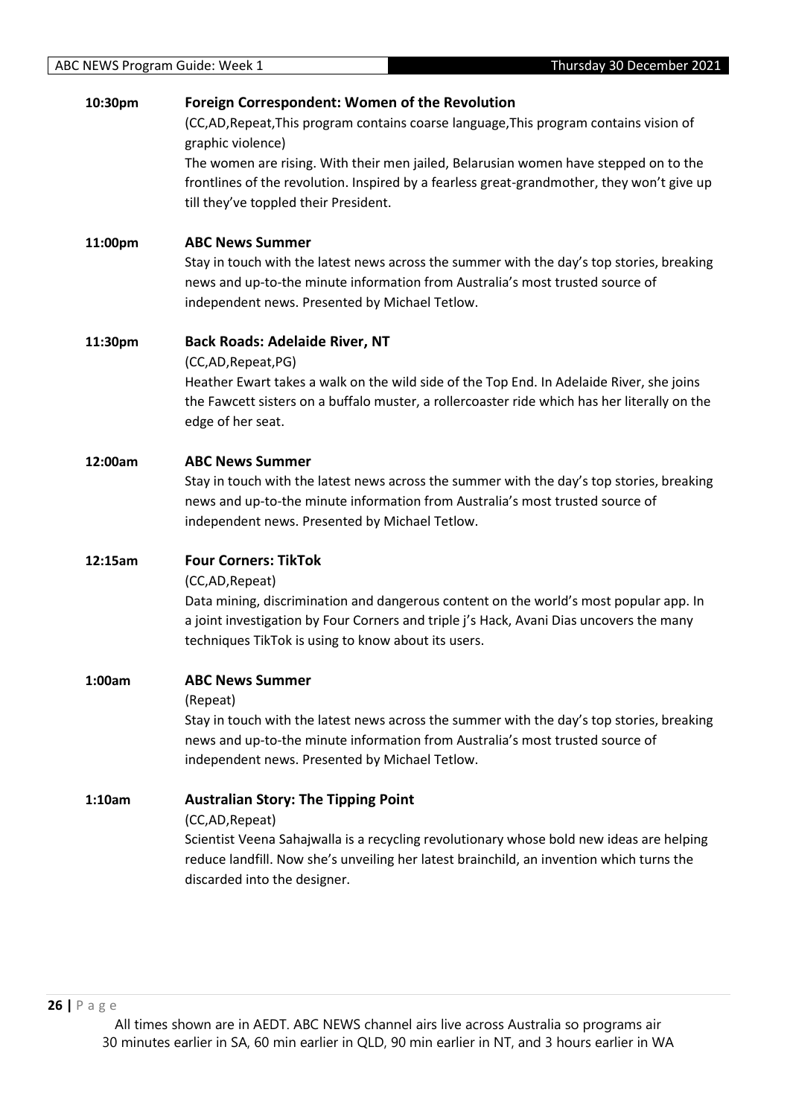# **10:30pm Foreign Correspondent: Women of the Revolution**

(CC,AD,Repeat,This program contains coarse language,This program contains vision of graphic violence)

The women are rising. With their men jailed, Belarusian women have stepped on to the frontlines of the revolution. Inspired by a fearless great-grandmother, they won't give up till they've toppled their President.

# **11:00pm ABC News Summer**

Stay in touch with the latest news across the summer with the day's top stories, breaking news and up-to-the minute information from Australia's most trusted source of independent news. Presented by Michael Tetlow.

# **11:30pm Back Roads: Adelaide River, NT**

(CC,AD,Repeat,PG)

Heather Ewart takes a walk on the wild side of the Top End. In Adelaide River, she joins the Fawcett sisters on a buffalo muster, a rollercoaster ride which has her literally on the edge of her seat.

# **12:00am ABC News Summer**

Stay in touch with the latest news across the summer with the day's top stories, breaking news and up-to-the minute information from Australia's most trusted source of independent news. Presented by Michael Tetlow.

# **12:15am Four Corners: TikTok**

(CC,AD,Repeat)

Data mining, discrimination and dangerous content on the world's most popular app. In a joint investigation by Four Corners and triple j's Hack, Avani Dias uncovers the many techniques TikTok is using to know about its users.

## **1:00am ABC News Summer**

## (Repeat)

Stay in touch with the latest news across the summer with the day's top stories, breaking news and up-to-the minute information from Australia's most trusted source of independent news. Presented by Michael Tetlow.

**1:10am Australian Story: The Tipping Point**

(CC,AD,Repeat)

Scientist Veena Sahajwalla is a recycling revolutionary whose bold new ideas are helping reduce landfill. Now she's unveiling her latest brainchild, an invention which turns the discarded into the designer.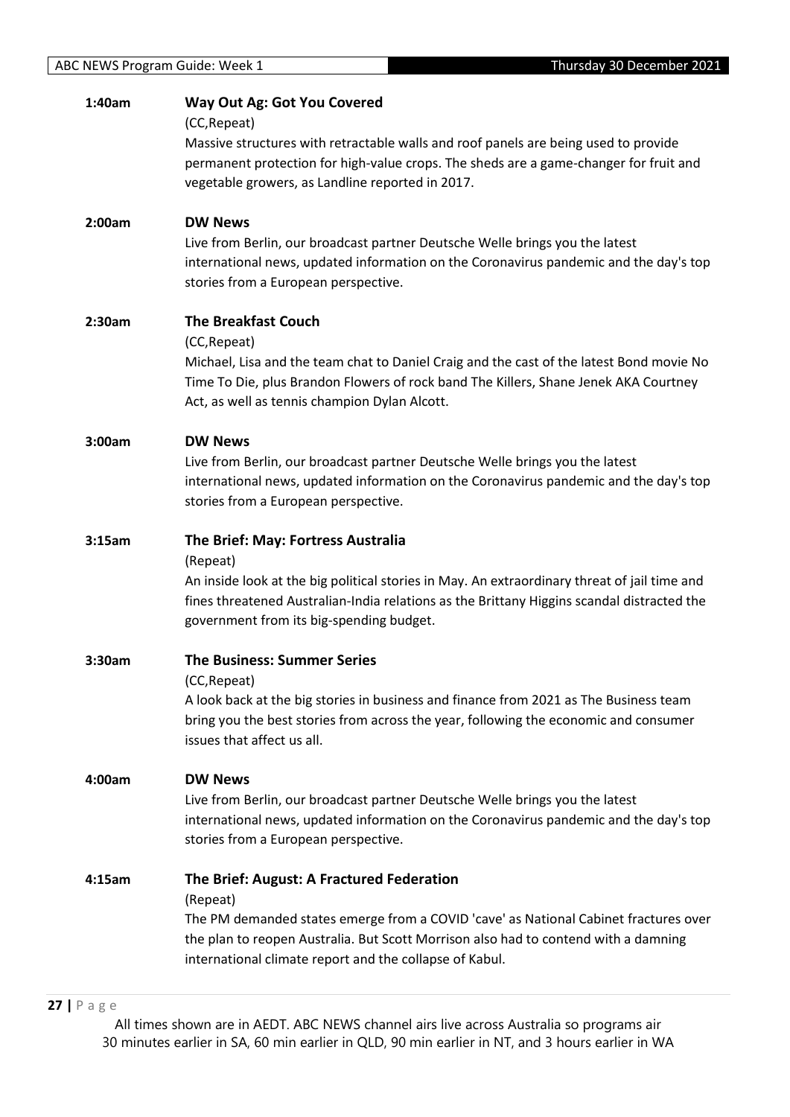| 1:40am | <b>Way Out Ag: Got You Covered</b>                                                           |
|--------|----------------------------------------------------------------------------------------------|
|        | (CC, Repeat)                                                                                 |
|        | Massive structures with retractable walls and roof panels are being used to provide          |
|        | permanent protection for high-value crops. The sheds are a game-changer for fruit and        |
|        | vegetable growers, as Landline reported in 2017.                                             |
| 2:00am | <b>DW News</b>                                                                               |
|        | Live from Berlin, our broadcast partner Deutsche Welle brings you the latest                 |
|        | international news, updated information on the Coronavirus pandemic and the day's top        |
|        | stories from a European perspective.                                                         |
| 2:30am | <b>The Breakfast Couch</b>                                                                   |
|        | (CC, Repeat)                                                                                 |
|        | Michael, Lisa and the team chat to Daniel Craig and the cast of the latest Bond movie No     |
|        | Time To Die, plus Brandon Flowers of rock band The Killers, Shane Jenek AKA Courtney         |
|        | Act, as well as tennis champion Dylan Alcott.                                                |
| 3:00am | <b>DW News</b>                                                                               |
|        | Live from Berlin, our broadcast partner Deutsche Welle brings you the latest                 |
|        | international news, updated information on the Coronavirus pandemic and the day's top        |
|        | stories from a European perspective.                                                         |
| 3:15am | The Brief: May: Fortress Australia                                                           |
|        | (Repeat)                                                                                     |
|        | An inside look at the big political stories in May. An extraordinary threat of jail time and |
|        | fines threatened Australian-India relations as the Brittany Higgins scandal distracted the   |
|        | government from its big-spending budget.                                                     |
| 3:30am | <b>The Business: Summer Series</b>                                                           |
|        | (CC, Repeat)                                                                                 |
|        | A look back at the big stories in business and finance from 2021 as The Business team        |
|        | bring you the best stories from across the year, following the economic and consumer         |
|        | issues that affect us all.                                                                   |
| 4:00am | <b>DW News</b>                                                                               |
|        | Live from Berlin, our broadcast partner Deutsche Welle brings you the latest                 |
|        | international news, updated information on the Coronavirus pandemic and the day's top        |
|        | stories from a European perspective.                                                         |
| 4:15am | The Brief: August: A Fractured Federation                                                    |
|        | (Repeat)                                                                                     |
|        | The PM demanded states emerge from a COVID 'cave' as National Cabinet fractures over         |
|        | the plan to reopen Australia. But Scott Morrison also had to contend with a damning          |
|        | international climate report and the collapse of Kabul.                                      |
|        |                                                                                              |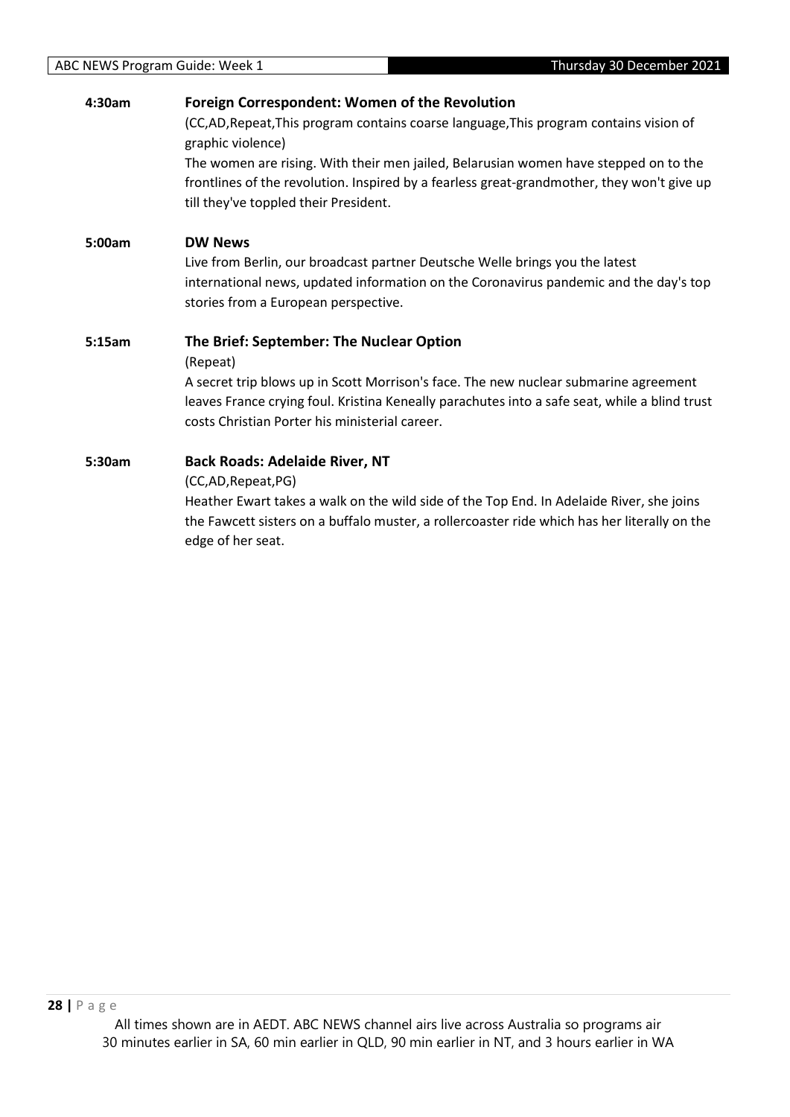| 4:30am | <b>Foreign Correspondent: Women of the Revolution</b>                                                       |
|--------|-------------------------------------------------------------------------------------------------------------|
|        | (CC,AD, Repeat, This program contains coarse language, This program contains vision of<br>graphic violence) |
|        | The women are rising. With their men jailed, Belarusian women have stepped on to the                        |
|        | frontlines of the revolution. Inspired by a fearless great-grandmother, they won't give up                  |
|        | till they've toppled their President.                                                                       |
| 5:00am | <b>DW News</b>                                                                                              |
|        | Live from Berlin, our broadcast partner Deutsche Welle brings you the latest                                |
|        | international news, updated information on the Coronavirus pandemic and the day's top                       |
|        | stories from a European perspective.                                                                        |
|        |                                                                                                             |
| 5:15am | The Brief: September: The Nuclear Option                                                                    |
|        | (Repeat)                                                                                                    |
|        | A secret trip blows up in Scott Morrison's face. The new nuclear submarine agreement                        |
|        | leaves France crying foul. Kristina Keneally parachutes into a safe seat, while a blind trust               |
|        | costs Christian Porter his ministerial career.                                                              |
| 5:30am | <b>Back Roads: Adelaide River, NT</b>                                                                       |
|        | (CC,AD, Repeat, PG)                                                                                         |
|        | Heather Ewart takes a walk on the wild side of the Top End. In Adelaide River, she joins                    |
|        | the Fawcett sisters on a buffalo muster, a rollercoaster ride which has her literally on the                |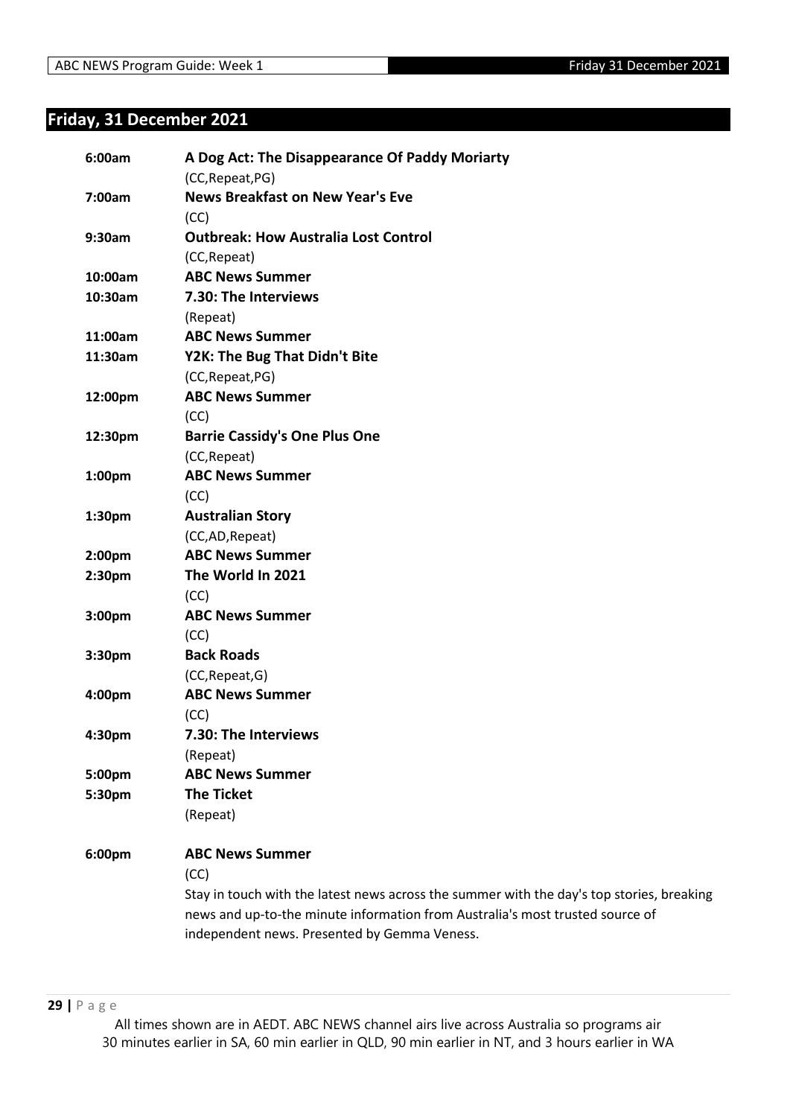# <span id="page-28-0"></span>**Friday, 31 December 2021**

| 6:00am             | A Dog Act: The Disappearance Of Paddy Moriarty                                            |
|--------------------|-------------------------------------------------------------------------------------------|
|                    | (CC, Repeat, PG)<br><b>News Breakfast on New Year's Eve</b>                               |
| 7:00am             | (CC)                                                                                      |
| 9:30am             | <b>Outbreak: How Australia Lost Control</b>                                               |
|                    | (CC, Repeat)                                                                              |
| 10:00am            | <b>ABC News Summer</b>                                                                    |
| 10:30am            | 7.30: The Interviews                                                                      |
|                    | (Repeat)                                                                                  |
| 11:00am            | <b>ABC News Summer</b>                                                                    |
| 11:30am            | Y2K: The Bug That Didn't Bite                                                             |
|                    | (CC, Repeat, PG)                                                                          |
| 12:00pm            | <b>ABC News Summer</b>                                                                    |
|                    | (CC)                                                                                      |
| 12:30pm            | <b>Barrie Cassidy's One Plus One</b>                                                      |
|                    | (CC, Repeat)                                                                              |
| 1:00 <sub>pm</sub> | <b>ABC News Summer</b>                                                                    |
|                    | (CC)                                                                                      |
| 1:30pm             | <b>Australian Story</b>                                                                   |
|                    | (CC,AD, Repeat)                                                                           |
| 2:00 <sub>pm</sub> | <b>ABC News Summer</b>                                                                    |
| 2:30pm             | The World In 2021                                                                         |
|                    | (CC)                                                                                      |
| 3:00pm             | <b>ABC News Summer</b>                                                                    |
|                    | (CC)                                                                                      |
| 3:30pm             | <b>Back Roads</b>                                                                         |
|                    | (CC, Repeat, G)                                                                           |
| 4:00pm             | <b>ABC News Summer</b>                                                                    |
|                    | (CC)                                                                                      |
| 4:30pm             | 7.30: The Interviews                                                                      |
|                    | (Repeat)                                                                                  |
| 5:00pm             | <b>ABC News Summer</b>                                                                    |
| 5:30pm             | <b>The Ticket</b>                                                                         |
|                    | (Repeat)                                                                                  |
| 6:00pm             | <b>ABC News Summer</b>                                                                    |
|                    | (CC)                                                                                      |
|                    | Stay in touch with the latest news across the summer with the day's top stories, breaking |
|                    | news and up-to-the minute information from Australia's most trusted source of             |
|                    | independent news. Presented by Gemma Veness.                                              |
|                    |                                                                                           |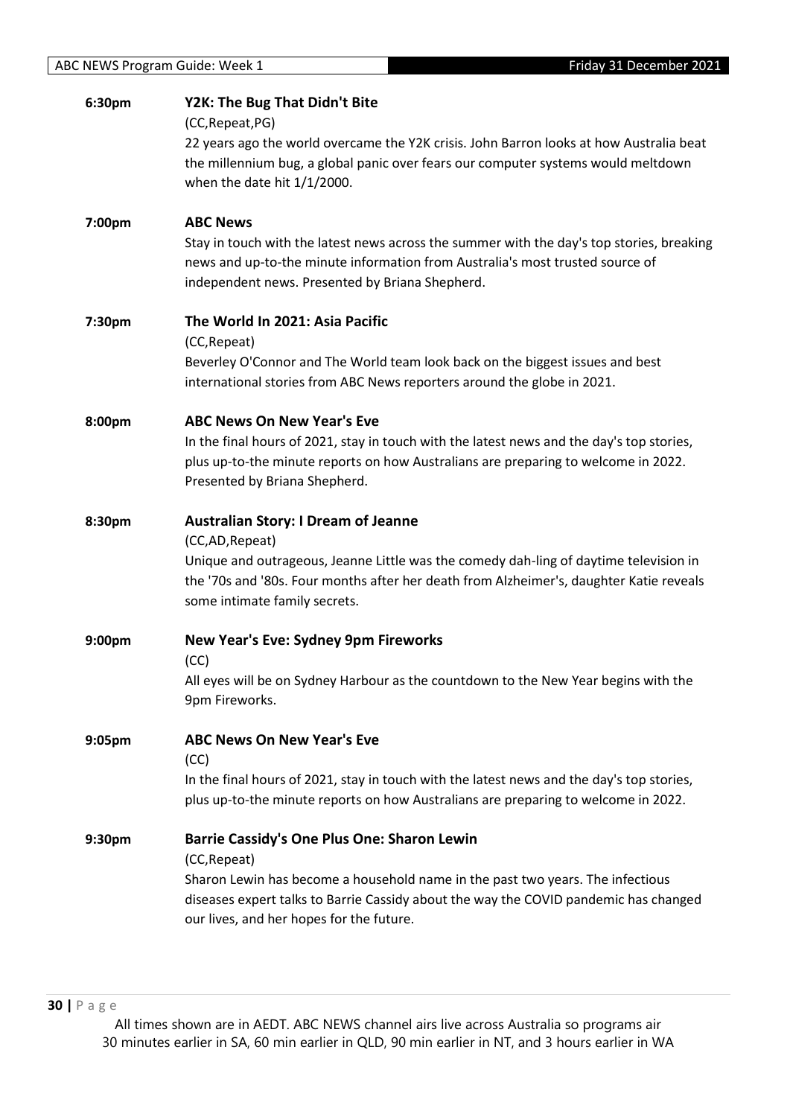| 6:30pm | Y2K: The Bug That Didn't Bite<br>(CC, Repeat, PG)<br>22 years ago the world overcame the Y2K crisis. John Barron looks at how Australia beat<br>the millennium bug, a global panic over fears our computer systems would meltdown<br>when the date hit $1/1/2000$ .                |
|--------|------------------------------------------------------------------------------------------------------------------------------------------------------------------------------------------------------------------------------------------------------------------------------------|
| 7:00pm | <b>ABC News</b><br>Stay in touch with the latest news across the summer with the day's top stories, breaking<br>news and up-to-the minute information from Australia's most trusted source of<br>independent news. Presented by Briana Shepherd.                                   |
| 7:30pm | The World In 2021: Asia Pacific<br>(CC, Repeat)<br>Beverley O'Connor and The World team look back on the biggest issues and best<br>international stories from ABC News reporters around the globe in 2021.                                                                        |
| 8:00pm | <b>ABC News On New Year's Eve</b><br>In the final hours of 2021, stay in touch with the latest news and the day's top stories,<br>plus up-to-the minute reports on how Australians are preparing to welcome in 2022.<br>Presented by Briana Shepherd.                              |
| 8:30pm | <b>Australian Story: I Dream of Jeanne</b><br>(CC,AD, Repeat)<br>Unique and outrageous, Jeanne Little was the comedy dah-ling of daytime television in<br>the '70s and '80s. Four months after her death from Alzheimer's, daughter Katie reveals<br>some intimate family secrets. |
| 9:00pm | <b>New Year's Eve: Sydney 9pm Fireworks</b><br>(CC)<br>All eyes will be on Sydney Harbour as the countdown to the New Year begins with the<br>9pm Fireworks.                                                                                                                       |
| 9:05pm | <b>ABC News On New Year's Eve</b><br>(CC)<br>In the final hours of 2021, stay in touch with the latest news and the day's top stories,<br>plus up-to-the minute reports on how Australians are preparing to welcome in 2022.                                                       |
| 9:30pm | Barrie Cassidy's One Plus One: Sharon Lewin<br>(CC, Repeat)<br>Sharon Lewin has become a household name in the past two years. The infectious<br>diseases expert talks to Barrie Cassidy about the way the COVID pandemic has changed<br>our lives, and her hopes for the future.  |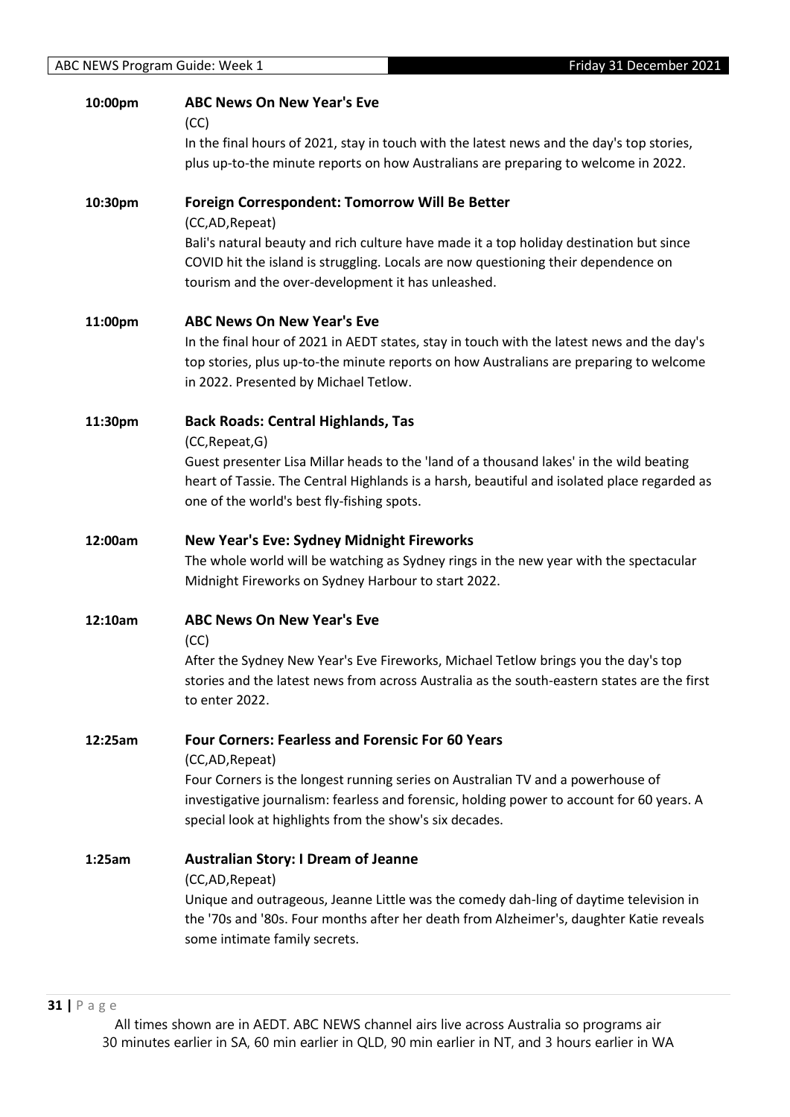| 10:00pm | <b>ABC News On New Year's Eve</b><br>(CC)<br>In the final hours of 2021, stay in touch with the latest news and the day's top stories,<br>plus up-to-the minute reports on how Australians are preparing to welcome in 2022.                                                                                          |
|---------|-----------------------------------------------------------------------------------------------------------------------------------------------------------------------------------------------------------------------------------------------------------------------------------------------------------------------|
| 10:30pm | <b>Foreign Correspondent: Tomorrow Will Be Better</b><br>(CC,AD, Repeat)<br>Bali's natural beauty and rich culture have made it a top holiday destination but since<br>COVID hit the island is struggling. Locals are now questioning their dependence on<br>tourism and the over-development it has unleashed.       |
| 11:00pm | <b>ABC News On New Year's Eve</b><br>In the final hour of 2021 in AEDT states, stay in touch with the latest news and the day's<br>top stories, plus up-to-the minute reports on how Australians are preparing to welcome<br>in 2022. Presented by Michael Tetlow.                                                    |
| 11:30pm | <b>Back Roads: Central Highlands, Tas</b><br>(CC, Repeat, G)<br>Guest presenter Lisa Millar heads to the 'land of a thousand lakes' in the wild beating<br>heart of Tassie. The Central Highlands is a harsh, beautiful and isolated place regarded as<br>one of the world's best fly-fishing spots.                  |
| 12:00am | <b>New Year's Eve: Sydney Midnight Fireworks</b><br>The whole world will be watching as Sydney rings in the new year with the spectacular<br>Midnight Fireworks on Sydney Harbour to start 2022.                                                                                                                      |
| 12:10am | <b>ABC News On New Year's Eve</b><br>(CC)<br>After the Sydney New Year's Eve Fireworks, Michael Tetlow brings you the day's top<br>stories and the latest news from across Australia as the south-eastern states are the first<br>to enter 2022.                                                                      |
| 12:25am | <b>Four Corners: Fearless and Forensic For 60 Years</b><br>(CC,AD, Repeat)<br>Four Corners is the longest running series on Australian TV and a powerhouse of<br>investigative journalism: fearless and forensic, holding power to account for 60 years. A<br>special look at highlights from the show's six decades. |
| 1:25am  | <b>Australian Story: I Dream of Jeanne</b><br>(CC,AD, Repeat)<br>Unique and outrageous, Jeanne Little was the comedy dah-ling of daytime television in<br>the '70s and '80s. Four months after her death from Alzheimer's, daughter Katie reveals<br>some intimate family secrets.                                    |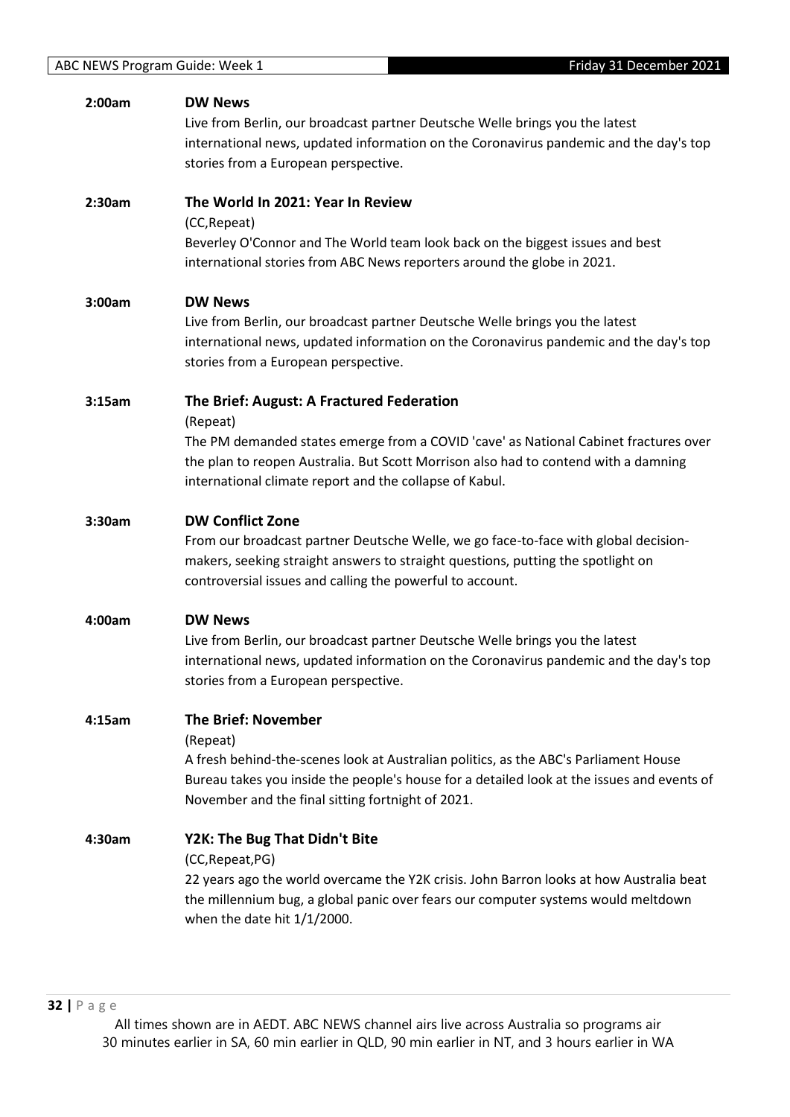| 2:00am | <b>DW News</b><br>Live from Berlin, our broadcast partner Deutsche Welle brings you the latest<br>international news, updated information on the Coronavirus pandemic and the day's top<br>stories from a European perspective.                                                                 |
|--------|-------------------------------------------------------------------------------------------------------------------------------------------------------------------------------------------------------------------------------------------------------------------------------------------------|
| 2:30am | The World In 2021: Year In Review<br>(CC, Repeat)<br>Beverley O'Connor and The World team look back on the biggest issues and best<br>international stories from ABC News reporters around the globe in 2021.                                                                                   |
| 3:00am | <b>DW News</b><br>Live from Berlin, our broadcast partner Deutsche Welle brings you the latest<br>international news, updated information on the Coronavirus pandemic and the day's top<br>stories from a European perspective.                                                                 |
| 3:15am | The Brief: August: A Fractured Federation<br>(Repeat)<br>The PM demanded states emerge from a COVID 'cave' as National Cabinet fractures over<br>the plan to reopen Australia. But Scott Morrison also had to contend with a damning<br>international climate report and the collapse of Kabul. |
| 3:30am | <b>DW Conflict Zone</b><br>From our broadcast partner Deutsche Welle, we go face-to-face with global decision-<br>makers, seeking straight answers to straight questions, putting the spotlight on<br>controversial issues and calling the powerful to account.                                 |
| 4:00am | <b>DW News</b><br>Live from Berlin, our broadcast partner Deutsche Welle brings you the latest<br>international news, updated information on the Coronavirus pandemic and the day's top<br>stories from a European perspective.                                                                 |
| 4:15am | <b>The Brief: November</b><br>(Repeat)<br>A fresh behind-the-scenes look at Australian politics, as the ABC's Parliament House<br>Bureau takes you inside the people's house for a detailed look at the issues and events of<br>November and the final sitting fortnight of 2021.               |
| 4:30am | Y2K: The Bug That Didn't Bite<br>(CC, Repeat, PG)<br>22 years ago the world overcame the Y2K crisis. John Barron looks at how Australia beat<br>the millennium bug, a global panic over fears our computer systems would meltdown<br>when the date hit $1/1/2000$ .                             |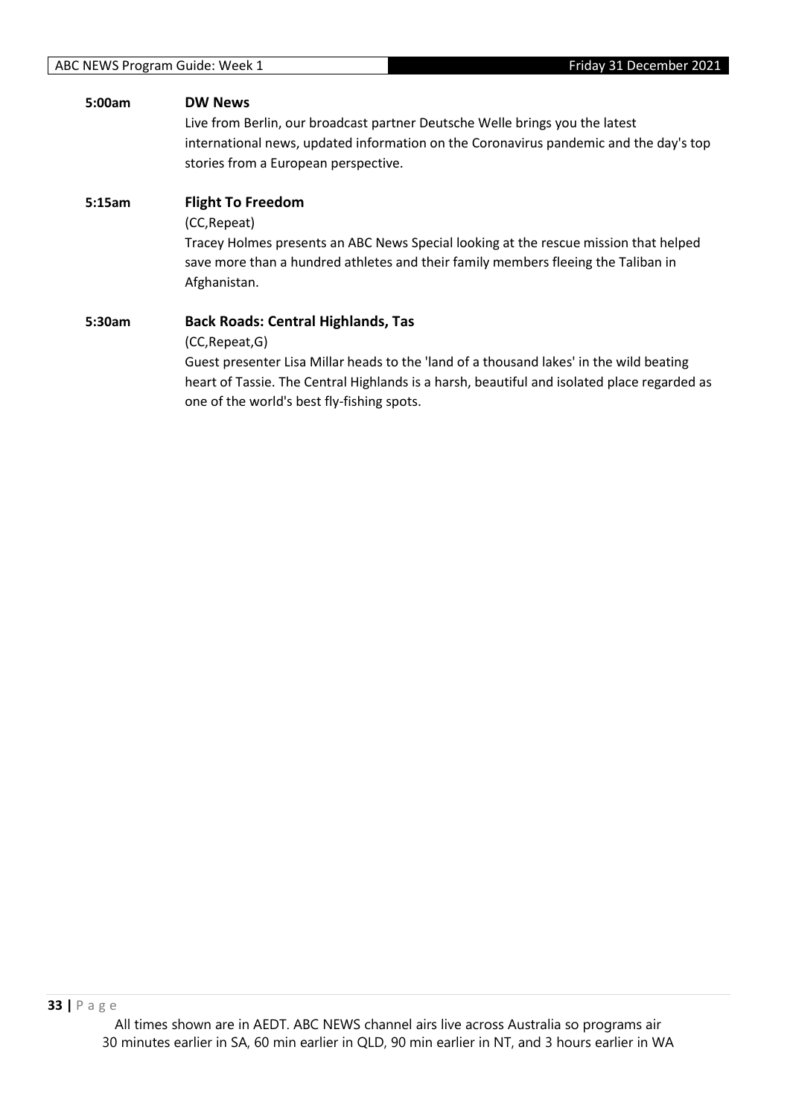# **5:00am DW News** Live from Berlin, our broadcast partner Deutsche Welle brings you the latest international news, updated information on the Coronavirus pandemic and the day's top stories from a European perspective. **5:15am Flight To Freedom** (CC,Repeat) Tracey Holmes presents an ABC News Special looking at the rescue mission that helped save more than a hundred athletes and their family members fleeing the Taliban in Afghanistan. **5:30am Back Roads: Central Highlands, Tas** (CC,Repeat,G) Guest presenter Lisa Millar heads to the 'land of a thousand lakes' in the wild beating heart of Tassie. The Central Highlands is a harsh, beautiful and isolated place regarded as one of the world's best fly-fishing spots.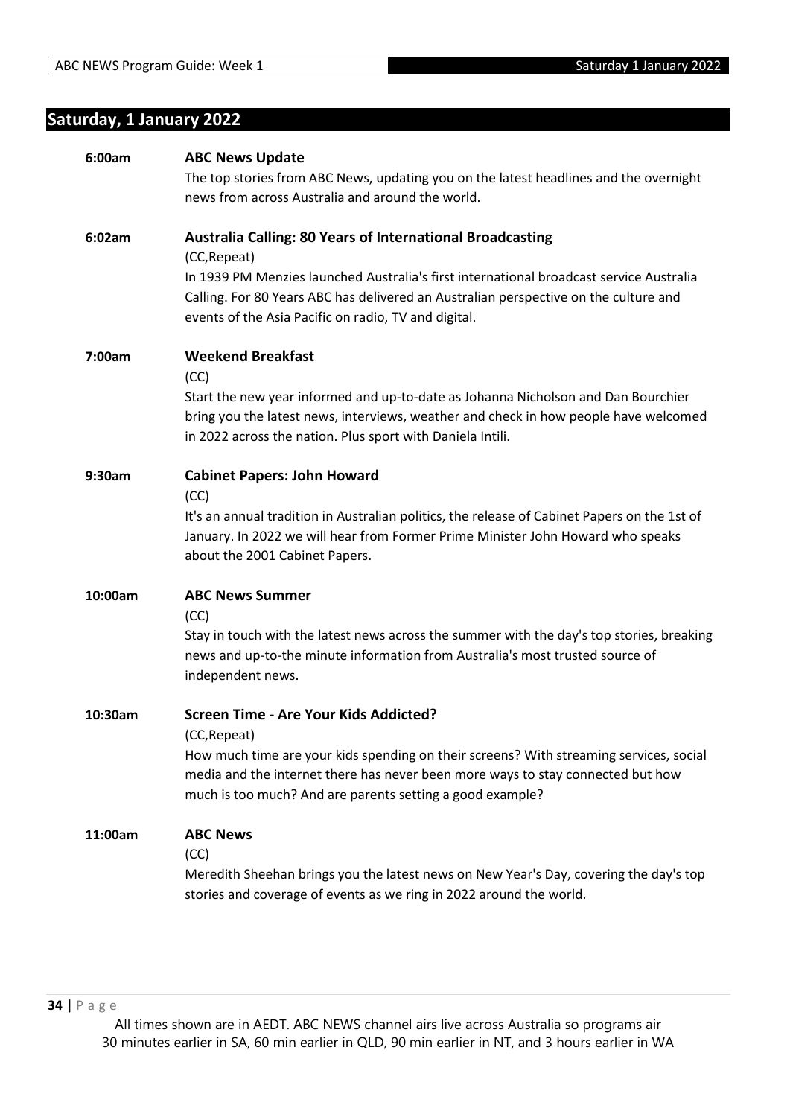# <span id="page-33-0"></span>**Saturday, 1 January 2022**

| 6:00am  | <b>ABC News Update</b>                                                                                                                                                     |
|---------|----------------------------------------------------------------------------------------------------------------------------------------------------------------------------|
|         | The top stories from ABC News, updating you on the latest headlines and the overnight                                                                                      |
|         | news from across Australia and around the world.                                                                                                                           |
|         |                                                                                                                                                                            |
| 6:02am  | <b>Australia Calling: 80 Years of International Broadcasting</b>                                                                                                           |
|         | (CC, Repeat)                                                                                                                                                               |
|         | In 1939 PM Menzies launched Australia's first international broadcast service Australia                                                                                    |
|         | Calling. For 80 Years ABC has delivered an Australian perspective on the culture and                                                                                       |
|         | events of the Asia Pacific on radio, TV and digital.                                                                                                                       |
| 7:00am  | <b>Weekend Breakfast</b>                                                                                                                                                   |
|         | (CC)                                                                                                                                                                       |
|         | Start the new year informed and up-to-date as Johanna Nicholson and Dan Bourchier                                                                                          |
|         | bring you the latest news, interviews, weather and check in how people have welcomed                                                                                       |
|         | in 2022 across the nation. Plus sport with Daniela Intili.                                                                                                                 |
| 9:30am  | <b>Cabinet Papers: John Howard</b>                                                                                                                                         |
|         | (CC)                                                                                                                                                                       |
|         | It's an annual tradition in Australian politics, the release of Cabinet Papers on the 1st of                                                                               |
|         | January. In 2022 we will hear from Former Prime Minister John Howard who speaks                                                                                            |
|         | about the 2001 Cabinet Papers.                                                                                                                                             |
|         |                                                                                                                                                                            |
| 10:00am | <b>ABC News Summer</b>                                                                                                                                                     |
|         | (CC)                                                                                                                                                                       |
|         | Stay in touch with the latest news across the summer with the day's top stories, breaking<br>news and up-to-the minute information from Australia's most trusted source of |
|         | independent news.                                                                                                                                                          |
|         |                                                                                                                                                                            |
| 10:30am | Screen Time - Are Your Kids Addicted?                                                                                                                                      |
|         | (CC, Repeat)                                                                                                                                                               |
|         | How much time are your kids spending on their screens? With streaming services, social                                                                                     |
|         | media and the internet there has never been more ways to stay connected but how                                                                                            |
|         | much is too much? And are parents setting a good example?                                                                                                                  |
| 11:00am | <b>ABC News</b>                                                                                                                                                            |
|         | (CC)                                                                                                                                                                       |
|         | Meredith Sheehan brings you the latest news on New Year's Day, covering the day's top                                                                                      |
|         | stories and coverage of events as we ring in 2022 around the world.                                                                                                        |
|         |                                                                                                                                                                            |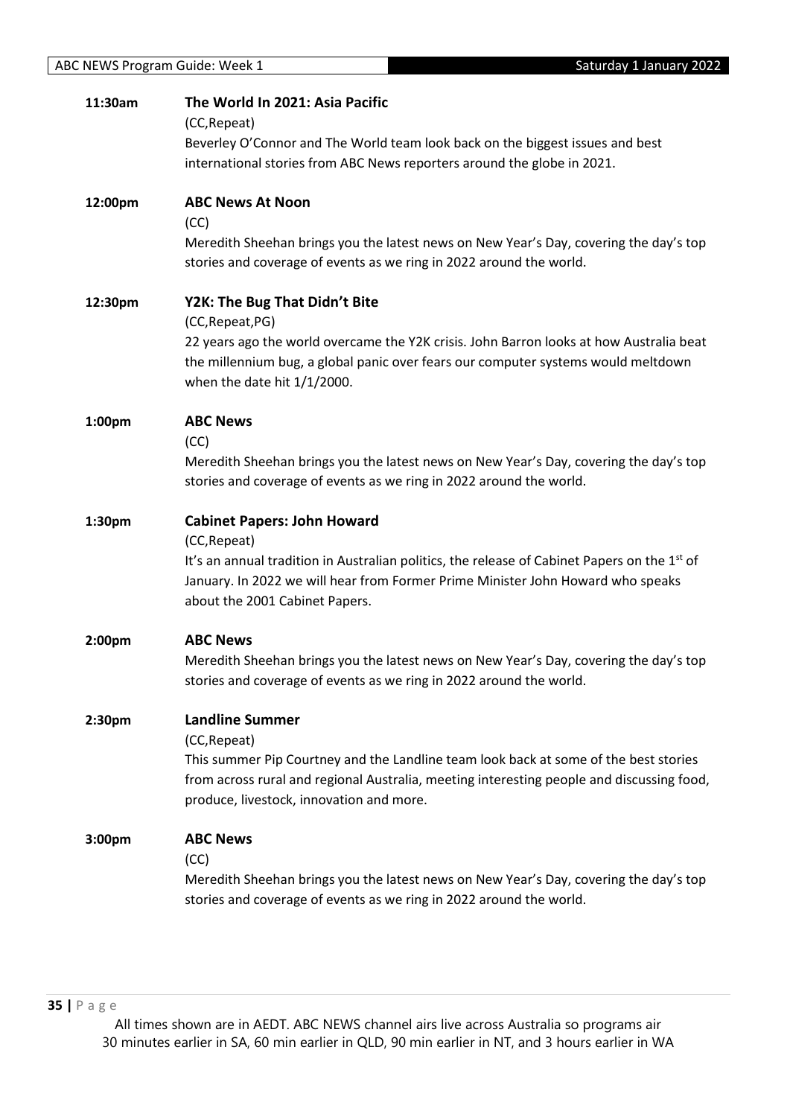| 11:30am            | The World In 2021: Asia Pacific<br>(CC, Repeat)                                                                                                              |
|--------------------|--------------------------------------------------------------------------------------------------------------------------------------------------------------|
|                    | Beverley O'Connor and The World team look back on the biggest issues and best                                                                                |
|                    | international stories from ABC News reporters around the globe in 2021.                                                                                      |
| 12:00pm            | <b>ABC News At Noon</b>                                                                                                                                      |
|                    | (CC)                                                                                                                                                         |
|                    | Meredith Sheehan brings you the latest news on New Year's Day, covering the day's top<br>stories and coverage of events as we ring in 2022 around the world. |
| 12:30pm            | Y2K: The Bug That Didn't Bite<br>(CC, Repeat, PG)                                                                                                            |
|                    | 22 years ago the world overcame the Y2K crisis. John Barron looks at how Australia beat                                                                      |
|                    | the millennium bug, a global panic over fears our computer systems would meltdown                                                                            |
|                    | when the date hit $1/1/2000$ .                                                                                                                               |
| 1:00 <sub>pm</sub> | <b>ABC News</b>                                                                                                                                              |
|                    | (CC)                                                                                                                                                         |
|                    | Meredith Sheehan brings you the latest news on New Year's Day, covering the day's top<br>stories and coverage of events as we ring in 2022 around the world. |
| 1:30pm             | <b>Cabinet Papers: John Howard</b>                                                                                                                           |
|                    | (CC, Repeat)                                                                                                                                                 |
|                    | It's an annual tradition in Australian politics, the release of Cabinet Papers on the 1 <sup>st</sup> of                                                     |
|                    | January. In 2022 we will hear from Former Prime Minister John Howard who speaks<br>about the 2001 Cabinet Papers.                                            |
| 2:00pm             | <b>ABC News</b>                                                                                                                                              |
|                    | Meredith Sheehan brings you the latest news on New Year's Day, covering the day's top                                                                        |
|                    | stories and coverage of events as we ring in 2022 around the world.                                                                                          |
| 2:30pm             | <b>Landline Summer</b>                                                                                                                                       |
|                    | (CC, Repeat)                                                                                                                                                 |
|                    | This summer Pip Courtney and the Landline team look back at some of the best stories                                                                         |
|                    | from across rural and regional Australia, meeting interesting people and discussing food,<br>produce, livestock, innovation and more.                        |
| 3:00 <sub>pm</sub> | <b>ABC News</b>                                                                                                                                              |
|                    | (CC)                                                                                                                                                         |
|                    | Meredith Sheehan brings you the latest news on New Year's Day, covering the day's top<br>stories and coverage of events as we ring in 2022 around the world. |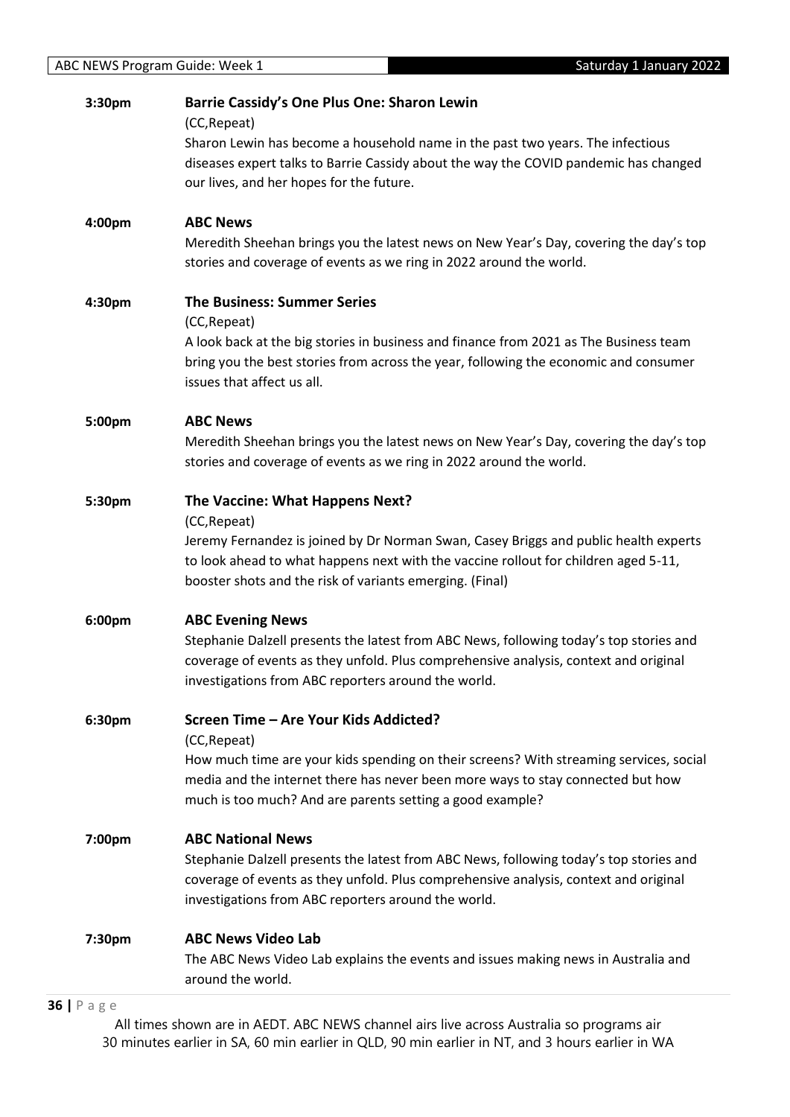| Sharon Lewin has become a household name in the past two years. The infectious<br>diseases expert talks to Barrie Cassidy about the way the COVID pandemic has changed<br>our lives, and her hopes for the future.<br><b>ABC News</b><br>4:00pm<br>Meredith Sheehan brings you the latest news on New Year's Day, covering the day's top<br>stories and coverage of events as we ring in 2022 around the world.<br><b>The Business: Summer Series</b><br>4:30pm<br>(CC, Repeat)<br>A look back at the big stories in business and finance from 2021 as The Business team<br>bring you the best stories from across the year, following the economic and consumer<br>issues that affect us all.<br><b>ABC News</b><br>5:00pm<br>Meredith Sheehan brings you the latest news on New Year's Day, covering the day's top<br>stories and coverage of events as we ring in 2022 around the world.<br>The Vaccine: What Happens Next?<br>5:30pm<br>(CC, Repeat)<br>Jeremy Fernandez is joined by Dr Norman Swan, Casey Briggs and public health experts<br>to look ahead to what happens next with the vaccine rollout for children aged 5-11,<br>booster shots and the risk of variants emerging. (Final)<br>6:00pm<br><b>ABC Evening News</b><br>Stephanie Dalzell presents the latest from ABC News, following today's top stories and<br>coverage of events as they unfold. Plus comprehensive analysis, context and original<br>investigations from ABC reporters around the world.<br>Screen Time - Are Your Kids Addicted?<br>6:30pm<br>(CC, Repeat)<br>How much time are your kids spending on their screens? With streaming services, social<br>media and the internet there has never been more ways to stay connected but how<br>much is too much? And are parents setting a good example?<br><b>ABC National News</b><br>7:00pm<br>Stephanie Dalzell presents the latest from ABC News, following today's top stories and<br>coverage of events as they unfold. Plus comprehensive analysis, context and original<br>investigations from ABC reporters around the world.<br><b>ABC News Video Lab</b><br>7:30pm<br>The ABC News Video Lab explains the events and issues making news in Australia and<br>around the world. | 3:30pm | <b>Barrie Cassidy's One Plus One: Sharon Lewin</b><br>(CC, Repeat) |
|---------------------------------------------------------------------------------------------------------------------------------------------------------------------------------------------------------------------------------------------------------------------------------------------------------------------------------------------------------------------------------------------------------------------------------------------------------------------------------------------------------------------------------------------------------------------------------------------------------------------------------------------------------------------------------------------------------------------------------------------------------------------------------------------------------------------------------------------------------------------------------------------------------------------------------------------------------------------------------------------------------------------------------------------------------------------------------------------------------------------------------------------------------------------------------------------------------------------------------------------------------------------------------------------------------------------------------------------------------------------------------------------------------------------------------------------------------------------------------------------------------------------------------------------------------------------------------------------------------------------------------------------------------------------------------------------------------------------------------------------------------------------------------------------------------------------------------------------------------------------------------------------------------------------------------------------------------------------------------------------------------------------------------------------------------------------------------------------------------------------------------------------------------------------------------------------------------------------------------|--------|--------------------------------------------------------------------|
|                                                                                                                                                                                                                                                                                                                                                                                                                                                                                                                                                                                                                                                                                                                                                                                                                                                                                                                                                                                                                                                                                                                                                                                                                                                                                                                                                                                                                                                                                                                                                                                                                                                                                                                                                                                                                                                                                                                                                                                                                                                                                                                                                                                                                                 |        |                                                                    |
|                                                                                                                                                                                                                                                                                                                                                                                                                                                                                                                                                                                                                                                                                                                                                                                                                                                                                                                                                                                                                                                                                                                                                                                                                                                                                                                                                                                                                                                                                                                                                                                                                                                                                                                                                                                                                                                                                                                                                                                                                                                                                                                                                                                                                                 |        |                                                                    |
|                                                                                                                                                                                                                                                                                                                                                                                                                                                                                                                                                                                                                                                                                                                                                                                                                                                                                                                                                                                                                                                                                                                                                                                                                                                                                                                                                                                                                                                                                                                                                                                                                                                                                                                                                                                                                                                                                                                                                                                                                                                                                                                                                                                                                                 |        |                                                                    |
|                                                                                                                                                                                                                                                                                                                                                                                                                                                                                                                                                                                                                                                                                                                                                                                                                                                                                                                                                                                                                                                                                                                                                                                                                                                                                                                                                                                                                                                                                                                                                                                                                                                                                                                                                                                                                                                                                                                                                                                                                                                                                                                                                                                                                                 |        |                                                                    |
|                                                                                                                                                                                                                                                                                                                                                                                                                                                                                                                                                                                                                                                                                                                                                                                                                                                                                                                                                                                                                                                                                                                                                                                                                                                                                                                                                                                                                                                                                                                                                                                                                                                                                                                                                                                                                                                                                                                                                                                                                                                                                                                                                                                                                                 |        |                                                                    |
|                                                                                                                                                                                                                                                                                                                                                                                                                                                                                                                                                                                                                                                                                                                                                                                                                                                                                                                                                                                                                                                                                                                                                                                                                                                                                                                                                                                                                                                                                                                                                                                                                                                                                                                                                                                                                                                                                                                                                                                                                                                                                                                                                                                                                                 |        |                                                                    |
|                                                                                                                                                                                                                                                                                                                                                                                                                                                                                                                                                                                                                                                                                                                                                                                                                                                                                                                                                                                                                                                                                                                                                                                                                                                                                                                                                                                                                                                                                                                                                                                                                                                                                                                                                                                                                                                                                                                                                                                                                                                                                                                                                                                                                                 |        |                                                                    |
|                                                                                                                                                                                                                                                                                                                                                                                                                                                                                                                                                                                                                                                                                                                                                                                                                                                                                                                                                                                                                                                                                                                                                                                                                                                                                                                                                                                                                                                                                                                                                                                                                                                                                                                                                                                                                                                                                                                                                                                                                                                                                                                                                                                                                                 |        |                                                                    |
|                                                                                                                                                                                                                                                                                                                                                                                                                                                                                                                                                                                                                                                                                                                                                                                                                                                                                                                                                                                                                                                                                                                                                                                                                                                                                                                                                                                                                                                                                                                                                                                                                                                                                                                                                                                                                                                                                                                                                                                                                                                                                                                                                                                                                                 |        |                                                                    |
|                                                                                                                                                                                                                                                                                                                                                                                                                                                                                                                                                                                                                                                                                                                                                                                                                                                                                                                                                                                                                                                                                                                                                                                                                                                                                                                                                                                                                                                                                                                                                                                                                                                                                                                                                                                                                                                                                                                                                                                                                                                                                                                                                                                                                                 |        |                                                                    |
|                                                                                                                                                                                                                                                                                                                                                                                                                                                                                                                                                                                                                                                                                                                                                                                                                                                                                                                                                                                                                                                                                                                                                                                                                                                                                                                                                                                                                                                                                                                                                                                                                                                                                                                                                                                                                                                                                                                                                                                                                                                                                                                                                                                                                                 |        |                                                                    |
|                                                                                                                                                                                                                                                                                                                                                                                                                                                                                                                                                                                                                                                                                                                                                                                                                                                                                                                                                                                                                                                                                                                                                                                                                                                                                                                                                                                                                                                                                                                                                                                                                                                                                                                                                                                                                                                                                                                                                                                                                                                                                                                                                                                                                                 |        |                                                                    |
|                                                                                                                                                                                                                                                                                                                                                                                                                                                                                                                                                                                                                                                                                                                                                                                                                                                                                                                                                                                                                                                                                                                                                                                                                                                                                                                                                                                                                                                                                                                                                                                                                                                                                                                                                                                                                                                                                                                                                                                                                                                                                                                                                                                                                                 |        |                                                                    |
|                                                                                                                                                                                                                                                                                                                                                                                                                                                                                                                                                                                                                                                                                                                                                                                                                                                                                                                                                                                                                                                                                                                                                                                                                                                                                                                                                                                                                                                                                                                                                                                                                                                                                                                                                                                                                                                                                                                                                                                                                                                                                                                                                                                                                                 |        |                                                                    |
|                                                                                                                                                                                                                                                                                                                                                                                                                                                                                                                                                                                                                                                                                                                                                                                                                                                                                                                                                                                                                                                                                                                                                                                                                                                                                                                                                                                                                                                                                                                                                                                                                                                                                                                                                                                                                                                                                                                                                                                                                                                                                                                                                                                                                                 |        |                                                                    |
|                                                                                                                                                                                                                                                                                                                                                                                                                                                                                                                                                                                                                                                                                                                                                                                                                                                                                                                                                                                                                                                                                                                                                                                                                                                                                                                                                                                                                                                                                                                                                                                                                                                                                                                                                                                                                                                                                                                                                                                                                                                                                                                                                                                                                                 |        |                                                                    |
|                                                                                                                                                                                                                                                                                                                                                                                                                                                                                                                                                                                                                                                                                                                                                                                                                                                                                                                                                                                                                                                                                                                                                                                                                                                                                                                                                                                                                                                                                                                                                                                                                                                                                                                                                                                                                                                                                                                                                                                                                                                                                                                                                                                                                                 |        |                                                                    |
|                                                                                                                                                                                                                                                                                                                                                                                                                                                                                                                                                                                                                                                                                                                                                                                                                                                                                                                                                                                                                                                                                                                                                                                                                                                                                                                                                                                                                                                                                                                                                                                                                                                                                                                                                                                                                                                                                                                                                                                                                                                                                                                                                                                                                                 |        |                                                                    |
|                                                                                                                                                                                                                                                                                                                                                                                                                                                                                                                                                                                                                                                                                                                                                                                                                                                                                                                                                                                                                                                                                                                                                                                                                                                                                                                                                                                                                                                                                                                                                                                                                                                                                                                                                                                                                                                                                                                                                                                                                                                                                                                                                                                                                                 |        |                                                                    |
|                                                                                                                                                                                                                                                                                                                                                                                                                                                                                                                                                                                                                                                                                                                                                                                                                                                                                                                                                                                                                                                                                                                                                                                                                                                                                                                                                                                                                                                                                                                                                                                                                                                                                                                                                                                                                                                                                                                                                                                                                                                                                                                                                                                                                                 |        |                                                                    |
|                                                                                                                                                                                                                                                                                                                                                                                                                                                                                                                                                                                                                                                                                                                                                                                                                                                                                                                                                                                                                                                                                                                                                                                                                                                                                                                                                                                                                                                                                                                                                                                                                                                                                                                                                                                                                                                                                                                                                                                                                                                                                                                                                                                                                                 |        |                                                                    |
|                                                                                                                                                                                                                                                                                                                                                                                                                                                                                                                                                                                                                                                                                                                                                                                                                                                                                                                                                                                                                                                                                                                                                                                                                                                                                                                                                                                                                                                                                                                                                                                                                                                                                                                                                                                                                                                                                                                                                                                                                                                                                                                                                                                                                                 |        |                                                                    |
|                                                                                                                                                                                                                                                                                                                                                                                                                                                                                                                                                                                                                                                                                                                                                                                                                                                                                                                                                                                                                                                                                                                                                                                                                                                                                                                                                                                                                                                                                                                                                                                                                                                                                                                                                                                                                                                                                                                                                                                                                                                                                                                                                                                                                                 |        |                                                                    |
|                                                                                                                                                                                                                                                                                                                                                                                                                                                                                                                                                                                                                                                                                                                                                                                                                                                                                                                                                                                                                                                                                                                                                                                                                                                                                                                                                                                                                                                                                                                                                                                                                                                                                                                                                                                                                                                                                                                                                                                                                                                                                                                                                                                                                                 |        |                                                                    |
|                                                                                                                                                                                                                                                                                                                                                                                                                                                                                                                                                                                                                                                                                                                                                                                                                                                                                                                                                                                                                                                                                                                                                                                                                                                                                                                                                                                                                                                                                                                                                                                                                                                                                                                                                                                                                                                                                                                                                                                                                                                                                                                                                                                                                                 |        |                                                                    |
|                                                                                                                                                                                                                                                                                                                                                                                                                                                                                                                                                                                                                                                                                                                                                                                                                                                                                                                                                                                                                                                                                                                                                                                                                                                                                                                                                                                                                                                                                                                                                                                                                                                                                                                                                                                                                                                                                                                                                                                                                                                                                                                                                                                                                                 |        |                                                                    |
|                                                                                                                                                                                                                                                                                                                                                                                                                                                                                                                                                                                                                                                                                                                                                                                                                                                                                                                                                                                                                                                                                                                                                                                                                                                                                                                                                                                                                                                                                                                                                                                                                                                                                                                                                                                                                                                                                                                                                                                                                                                                                                                                                                                                                                 |        |                                                                    |
|                                                                                                                                                                                                                                                                                                                                                                                                                                                                                                                                                                                                                                                                                                                                                                                                                                                                                                                                                                                                                                                                                                                                                                                                                                                                                                                                                                                                                                                                                                                                                                                                                                                                                                                                                                                                                                                                                                                                                                                                                                                                                                                                                                                                                                 |        |                                                                    |
|                                                                                                                                                                                                                                                                                                                                                                                                                                                                                                                                                                                                                                                                                                                                                                                                                                                                                                                                                                                                                                                                                                                                                                                                                                                                                                                                                                                                                                                                                                                                                                                                                                                                                                                                                                                                                                                                                                                                                                                                                                                                                                                                                                                                                                 |        |                                                                    |
|                                                                                                                                                                                                                                                                                                                                                                                                                                                                                                                                                                                                                                                                                                                                                                                                                                                                                                                                                                                                                                                                                                                                                                                                                                                                                                                                                                                                                                                                                                                                                                                                                                                                                                                                                                                                                                                                                                                                                                                                                                                                                                                                                                                                                                 |        |                                                                    |
|                                                                                                                                                                                                                                                                                                                                                                                                                                                                                                                                                                                                                                                                                                                                                                                                                                                                                                                                                                                                                                                                                                                                                                                                                                                                                                                                                                                                                                                                                                                                                                                                                                                                                                                                                                                                                                                                                                                                                                                                                                                                                                                                                                                                                                 |        |                                                                    |
|                                                                                                                                                                                                                                                                                                                                                                                                                                                                                                                                                                                                                                                                                                                                                                                                                                                                                                                                                                                                                                                                                                                                                                                                                                                                                                                                                                                                                                                                                                                                                                                                                                                                                                                                                                                                                                                                                                                                                                                                                                                                                                                                                                                                                                 |        |                                                                    |
|                                                                                                                                                                                                                                                                                                                                                                                                                                                                                                                                                                                                                                                                                                                                                                                                                                                                                                                                                                                                                                                                                                                                                                                                                                                                                                                                                                                                                                                                                                                                                                                                                                                                                                                                                                                                                                                                                                                                                                                                                                                                                                                                                                                                                                 |        |                                                                    |
|                                                                                                                                                                                                                                                                                                                                                                                                                                                                                                                                                                                                                                                                                                                                                                                                                                                                                                                                                                                                                                                                                                                                                                                                                                                                                                                                                                                                                                                                                                                                                                                                                                                                                                                                                                                                                                                                                                                                                                                                                                                                                                                                                                                                                                 |        |                                                                    |

**36 |** P a g e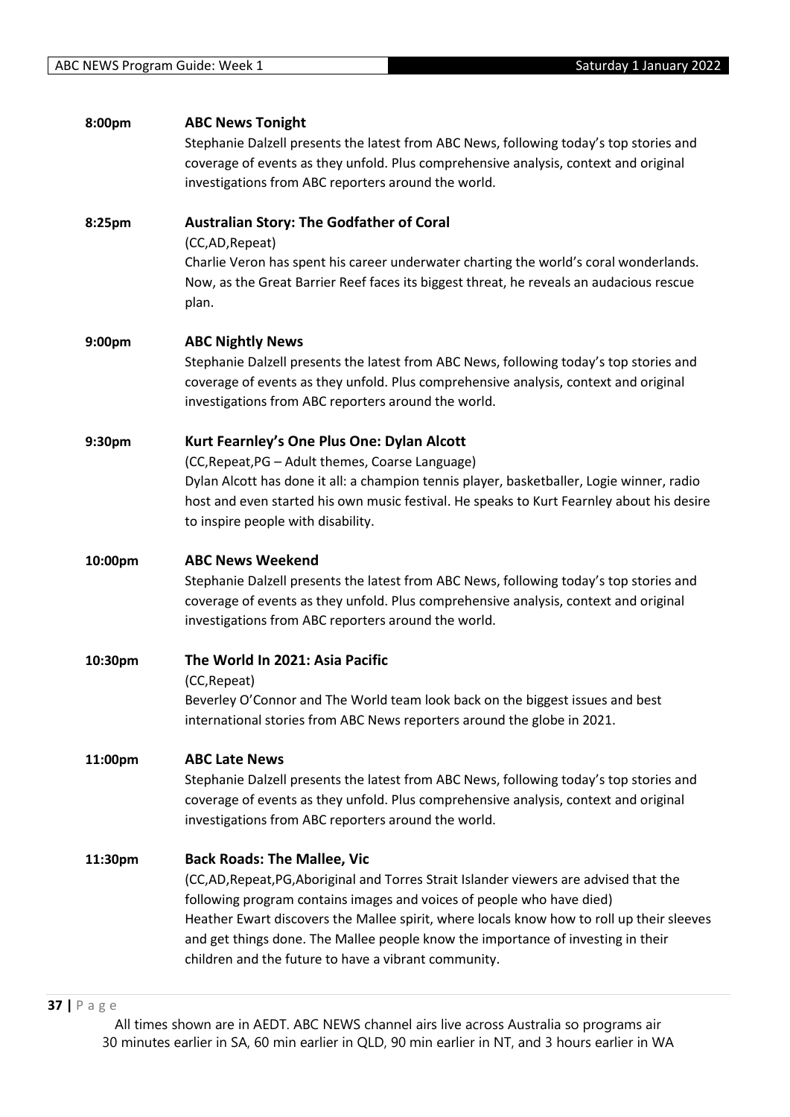| 8:00pm  | <b>ABC News Tonight</b><br>Stephanie Dalzell presents the latest from ABC News, following today's top stories and<br>coverage of events as they unfold. Plus comprehensive analysis, context and original<br>investigations from ABC reporters around the world. |
|---------|------------------------------------------------------------------------------------------------------------------------------------------------------------------------------------------------------------------------------------------------------------------|
| 8:25pm  | <b>Australian Story: The Godfather of Coral</b>                                                                                                                                                                                                                  |
|         | (CC,AD, Repeat)<br>Charlie Veron has spent his career underwater charting the world's coral wonderlands.<br>Now, as the Great Barrier Reef faces its biggest threat, he reveals an audacious rescue<br>plan.                                                     |
| 9:00pm  | <b>ABC Nightly News</b>                                                                                                                                                                                                                                          |
|         | Stephanie Dalzell presents the latest from ABC News, following today's top stories and<br>coverage of events as they unfold. Plus comprehensive analysis, context and original<br>investigations from ABC reporters around the world.                            |
| 9:30pm  | Kurt Fearnley's One Plus One: Dylan Alcott                                                                                                                                                                                                                       |
|         | (CC, Repeat, PG - Adult themes, Coarse Language)                                                                                                                                                                                                                 |
|         | Dylan Alcott has done it all: a champion tennis player, basketballer, Logie winner, radio                                                                                                                                                                        |
|         | host and even started his own music festival. He speaks to Kurt Fearnley about his desire<br>to inspire people with disability.                                                                                                                                  |
| 10:00pm | <b>ABC News Weekend</b><br>Stephanie Dalzell presents the latest from ABC News, following today's top stories and<br>coverage of events as they unfold. Plus comprehensive analysis, context and original<br>investigations from ABC reporters around the world. |
| 10:30pm | The World In 2021: Asia Pacific                                                                                                                                                                                                                                  |
|         | (CC, Repeat)                                                                                                                                                                                                                                                     |
|         | Beverley O'Connor and The World team look back on the biggest issues and best<br>international stories from ABC News reporters around the globe in 2021.                                                                                                         |
| 11:00pm | <b>ABC Late News</b>                                                                                                                                                                                                                                             |
|         | Stephanie Dalzell presents the latest from ABC News, following today's top stories and                                                                                                                                                                           |
|         | coverage of events as they unfold. Plus comprehensive analysis, context and original<br>investigations from ABC reporters around the world.                                                                                                                      |
| 11:30pm | <b>Back Roads: The Mallee, Vic</b>                                                                                                                                                                                                                               |
|         | (CC,AD,Repeat,PG,Aboriginal and Torres Strait Islander viewers are advised that the                                                                                                                                                                              |
|         | following program contains images and voices of people who have died)                                                                                                                                                                                            |
|         | Heather Ewart discovers the Mallee spirit, where locals know how to roll up their sleeves<br>and get things done. The Mallee people know the importance of investing in their                                                                                    |
|         | children and the future to have a vibrant community.                                                                                                                                                                                                             |
|         |                                                                                                                                                                                                                                                                  |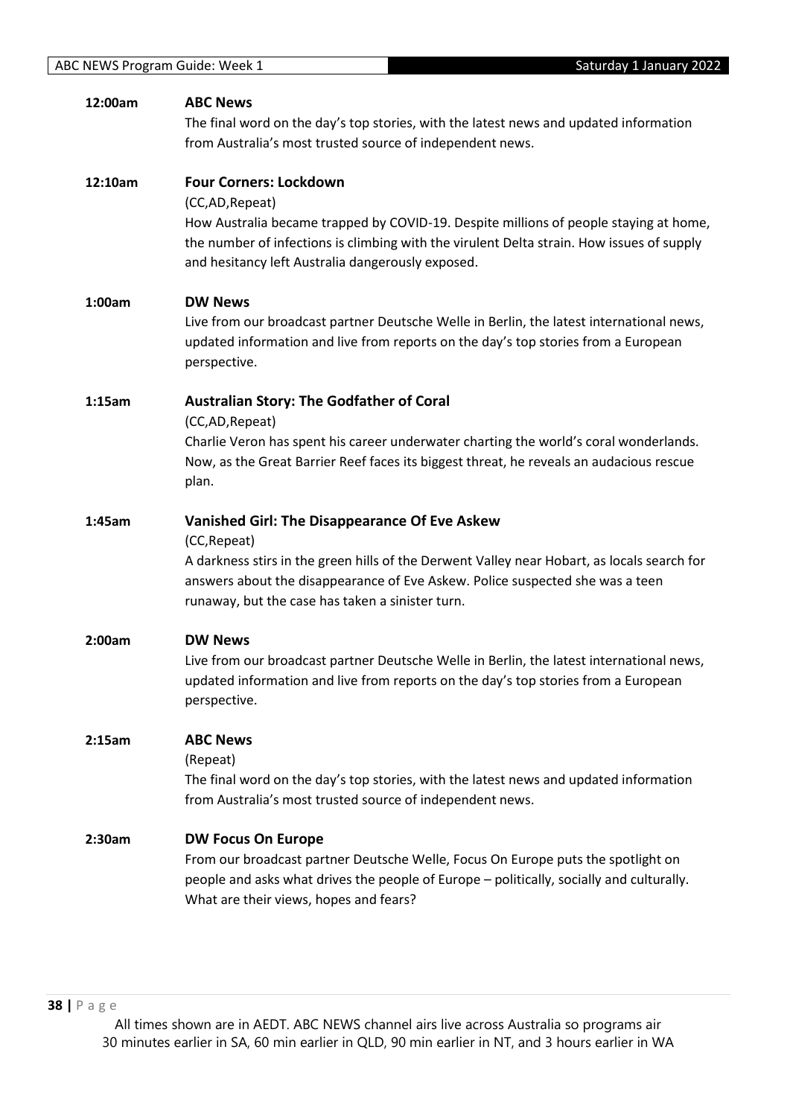| 12:00am | <b>ABC News</b>                                                                             |
|---------|---------------------------------------------------------------------------------------------|
|         | The final word on the day's top stories, with the latest news and updated information       |
|         | from Australia's most trusted source of independent news.                                   |
|         |                                                                                             |
| 12:10am | <b>Four Corners: Lockdown</b>                                                               |
|         | (CC,AD, Repeat)                                                                             |
|         | How Australia became trapped by COVID-19. Despite millions of people staying at home,       |
|         | the number of infections is climbing with the virulent Delta strain. How issues of supply   |
|         | and hesitancy left Australia dangerously exposed.                                           |
|         |                                                                                             |
| 1:00am  | <b>DW News</b>                                                                              |
|         | Live from our broadcast partner Deutsche Welle in Berlin, the latest international news,    |
|         | updated information and live from reports on the day's top stories from a European          |
|         | perspective.                                                                                |
|         |                                                                                             |
| 1:15am  | <b>Australian Story: The Godfather of Coral</b>                                             |
|         | (CC,AD, Repeat)                                                                             |
|         | Charlie Veron has spent his career underwater charting the world's coral wonderlands.       |
|         | Now, as the Great Barrier Reef faces its biggest threat, he reveals an audacious rescue     |
|         | plan.                                                                                       |
|         |                                                                                             |
| 1:45am  | <b>Vanished Girl: The Disappearance Of Eve Askew</b>                                        |
|         | (CC, Repeat)                                                                                |
|         | A darkness stirs in the green hills of the Derwent Valley near Hobart, as locals search for |
|         | answers about the disappearance of Eve Askew. Police suspected she was a teen               |
|         | runaway, but the case has taken a sinister turn.                                            |
|         |                                                                                             |
| 2:00am  | <b>DW News</b>                                                                              |
|         | Live from our broadcast partner Deutsche Welle in Berlin, the latest international news,    |
|         | updated information and live from reports on the day's top stories from a European          |
|         | perspective.                                                                                |
|         |                                                                                             |
| 2:15am  | <b>ABC News</b>                                                                             |
|         | (Repeat)                                                                                    |
|         | The final word on the day's top stories, with the latest news and updated information       |
|         | from Australia's most trusted source of independent news.                                   |
|         |                                                                                             |
| 2:30am  | <b>DW Focus On Europe</b>                                                                   |
|         | From our broadcast partner Deutsche Welle, Focus On Europe puts the spotlight on            |
|         | people and asks what drives the people of Europe - politically, socially and culturally.    |
|         | What are their views, hopes and fears?                                                      |
|         |                                                                                             |